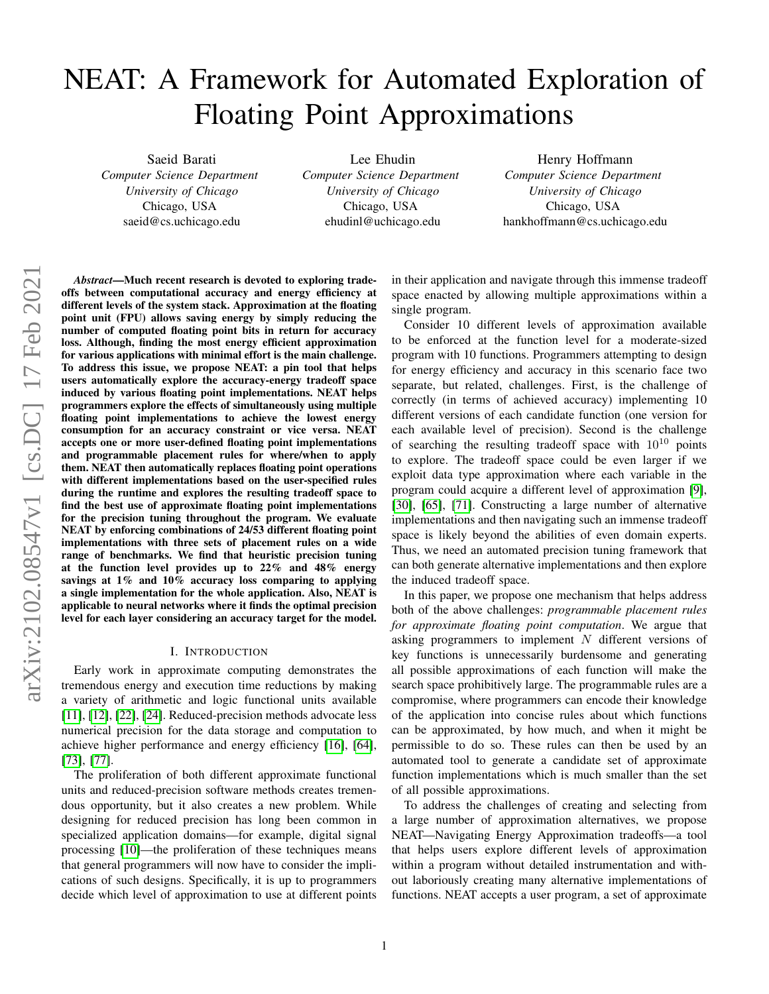# NEAT: A Framework for Automated Exploration of Floating Point Approximations

Saeid Barati *Computer Science Department University of Chicago* Chicago, USA saeid@cs.uchicago.edu

Lee Ehudin *Computer Science Department University of Chicago* Chicago, USA ehudinl@uchicago.edu

Henry Hoffmann *Computer Science Department University of Chicago* Chicago, USA hankhoffmann@cs.uchicago.edu

*Abstract*—Much recent research is devoted to exploring tradeoffs between computational accuracy and energy efficiency at different levels of the system stack. Approximation at the floating point unit (FPU) allows saving energy by simply reducing the number of computed floating point bits in return for accuracy loss. Although, finding the most energy efficient approximation for various applications with minimal effort is the main challenge. To address this issue, we propose NEAT: a pin tool that helps users automatically explore the accuracy-energy tradeoff space induced by various floating point implementations. NEAT helps programmers explore the effects of simultaneously using multiple floating point implementations to achieve the lowest energy consumption for an accuracy constraint or vice versa. NEAT accepts one or more user-defined floating point implementations and programmable placement rules for where/when to apply them. NEAT then automatically replaces floating point operations with different implementations based on the user-specified rules during the runtime and explores the resulting tradeoff space to find the best use of approximate floating point implementations for the precision tuning throughout the program. We evaluate NEAT by enforcing combinations of 24/53 different floating point implementations with three sets of placement rules on a wide range of benchmarks. We find that heuristic precision tuning at the function level provides up to 22% and 48% energy savings at 1% and 10% accuracy loss comparing to applying a single implementation for the whole application. Also, NEAT is applicable to neural networks where it finds the optimal precision level for each layer considering an accuracy target for the model.

#### I. INTRODUCTION

Early work in approximate computing demonstrates the tremendous energy and execution time reductions by making a variety of arithmetic and logic functional units available [\[11\]](#page-11-0), [\[12\]](#page-11-1), [\[22\]](#page-11-2), [\[24\]](#page-11-3). Reduced-precision methods advocate less numerical precision for the data storage and computation to achieve higher performance and energy efficiency [\[16\]](#page-11-4), [\[64\]](#page-13-0), [\[73\]](#page-13-1), [\[77\]](#page-13-2).

The proliferation of both different approximate functional units and reduced-precision software methods creates tremendous opportunity, but it also creates a new problem. While designing for reduced precision has long been common in specialized application domains—for example, digital signal processing [\[10\]](#page-11-5)—the proliferation of these techniques means that general programmers will now have to consider the implications of such designs. Specifically, it is up to programmers decide which level of approximation to use at different points

in their application and navigate through this immense tradeoff space enacted by allowing multiple approximations within a single program.

Consider 10 different levels of approximation available to be enforced at the function level for a moderate-sized program with 10 functions. Programmers attempting to design for energy efficiency and accuracy in this scenario face two separate, but related, challenges. First, is the challenge of correctly (in terms of achieved accuracy) implementing 10 different versions of each candidate function (one version for each available level of precision). Second is the challenge of searching the resulting tradeoff space with  $10^{10}$  points to explore. The tradeoff space could be even larger if we exploit data type approximation where each variable in the program could acquire a different level of approximation [\[9\]](#page-11-6), [\[30\]](#page-12-0), [\[65\]](#page-13-3), [\[71\]](#page-13-4). Constructing a large number of alternative implementations and then navigating such an immense tradeoff space is likely beyond the abilities of even domain experts. Thus, we need an automated precision tuning framework that can both generate alternative implementations and then explore the induced tradeoff space.

In this paper, we propose one mechanism that helps address both of the above challenges: *programmable placement rules for approximate floating point computation*. We argue that asking programmers to implement  $N$  different versions of key functions is unnecessarily burdensome and generating all possible approximations of each function will make the search space prohibitively large. The programmable rules are a compromise, where programmers can encode their knowledge of the application into concise rules about which functions can be approximated, by how much, and when it might be permissible to do so. These rules can then be used by an automated tool to generate a candidate set of approximate function implementations which is much smaller than the set of all possible approximations.

To address the challenges of creating and selecting from a large number of approximation alternatives, we propose NEAT—Navigating Energy Approximation tradeoffs—a tool that helps users explore different levels of approximation within a program without detailed instrumentation and without laboriously creating many alternative implementations of functions. NEAT accepts a user program, a set of approximate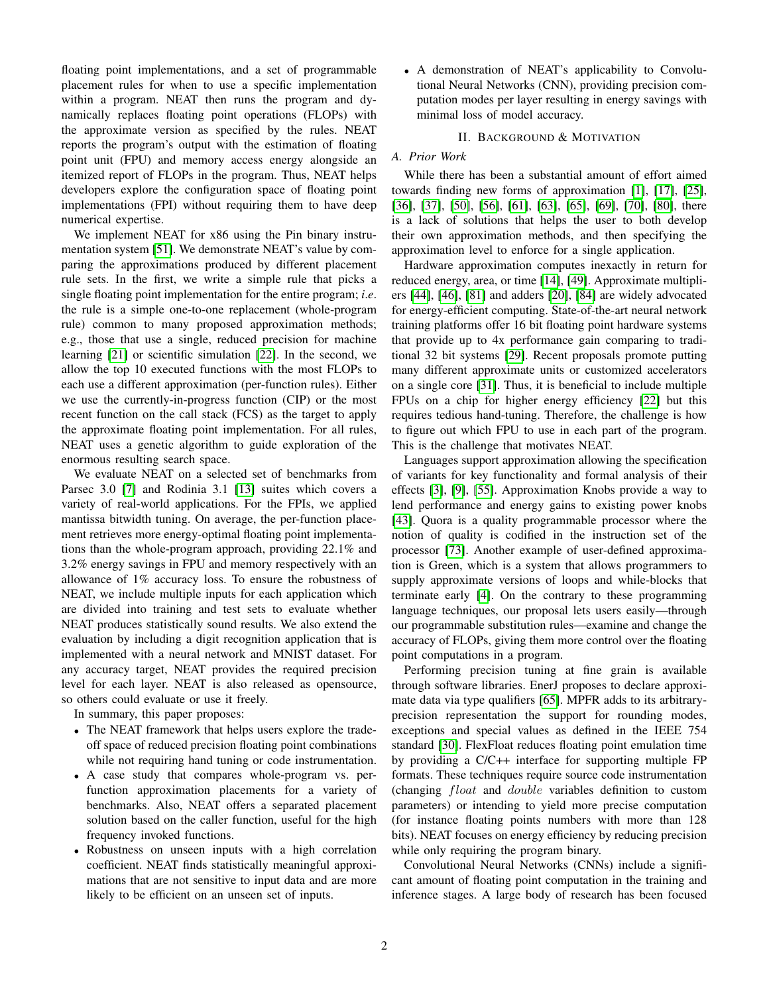floating point implementations, and a set of programmable placement rules for when to use a specific implementation within a program. NEAT then runs the program and dynamically replaces floating point operations (FLOPs) with the approximate version as specified by the rules. NEAT reports the program's output with the estimation of floating point unit (FPU) and memory access energy alongside an itemized report of FLOPs in the program. Thus, NEAT helps developers explore the configuration space of floating point implementations (FPI) without requiring them to have deep numerical expertise.

We implement NEAT for x86 using the Pin binary instrumentation system [\[51\]](#page-12-1). We demonstrate NEAT's value by comparing the approximations produced by different placement rule sets. In the first, we write a simple rule that picks a single floating point implementation for the entire program; *i*.*e*. the rule is a simple one-to-one replacement (whole-program rule) common to many proposed approximation methods; e.g., those that use a single, reduced precision for machine learning [\[21\]](#page-11-7) or scientific simulation [\[22\]](#page-11-2). In the second, we allow the top 10 executed functions with the most FLOPs to each use a different approximation (per-function rules). Either we use the currently-in-progress function (CIP) or the most recent function on the call stack (FCS) as the target to apply the approximate floating point implementation. For all rules, NEAT uses a genetic algorithm to guide exploration of the enormous resulting search space.

We evaluate NEAT on a selected set of benchmarks from Parsec 3.0 [\[7\]](#page-11-8) and Rodinia 3.1 [\[13\]](#page-11-9) suites which covers a variety of real-world applications. For the FPIs, we applied mantissa bitwidth tuning. On average, the per-function placement retrieves more energy-optimal floating point implementations than the whole-program approach, providing 22.1% and 3.2% energy savings in FPU and memory respectively with an allowance of 1% accuracy loss. To ensure the robustness of NEAT, we include multiple inputs for each application which are divided into training and test sets to evaluate whether NEAT produces statistically sound results. We also extend the evaluation by including a digit recognition application that is implemented with a neural network and MNIST dataset. For any accuracy target, NEAT provides the required precision level for each layer. NEAT is also released as opensource, so others could evaluate or use it freely.

In summary, this paper proposes:

- The NEAT framework that helps users explore the tradeoff space of reduced precision floating point combinations while not requiring hand tuning or code instrumentation.
- A case study that compares whole-program vs. perfunction approximation placements for a variety of benchmarks. Also, NEAT offers a separated placement solution based on the caller function, useful for the high frequency invoked functions.
- Robustness on unseen inputs with a high correlation coefficient. NEAT finds statistically meaningful approximations that are not sensitive to input data and are more likely to be efficient on an unseen set of inputs.

• A demonstration of NEAT's applicability to Convolutional Neural Networks (CNN), providing precision computation modes per layer resulting in energy savings with minimal loss of model accuracy.

## II. BACKGROUND & MOTIVATION

# *A. Prior Work*

While there has been a substantial amount of effort aimed towards finding new forms of approximation [\[1\]](#page-11-10), [\[17\]](#page-11-11), [\[25\]](#page-11-12), [\[36\]](#page-12-2), [\[37\]](#page-12-3), [\[50\]](#page-12-4), [\[56\]](#page-13-5), [\[61\]](#page-13-6), [\[63\]](#page-13-7), [\[65\]](#page-13-3), [\[69\]](#page-13-8), [\[70\]](#page-13-9), [\[80\]](#page-13-10), there is a lack of solutions that helps the user to both develop their own approximation methods, and then specifying the approximation level to enforce for a single application.

Hardware approximation computes inexactly in return for reduced energy, area, or time [\[14\]](#page-11-13), [\[49\]](#page-12-5). Approximate multipliers [\[44\]](#page-12-6), [\[46\]](#page-12-7), [\[81\]](#page-13-11) and adders [\[20\]](#page-11-14), [\[84\]](#page-14-0) are widely advocated for energy-efficient computing. State-of-the-art neural network training platforms offer 16 bit floating point hardware systems that provide up to 4x performance gain comparing to traditional 32 bit systems [\[29\]](#page-12-8). Recent proposals promote putting many different approximate units or customized accelerators on a single core [\[31\]](#page-12-9). Thus, it is beneficial to include multiple FPUs on a chip for higher energy efficiency [\[22\]](#page-11-2) but this requires tedious hand-tuning. Therefore, the challenge is how to figure out which FPU to use in each part of the program. This is the challenge that motivates NEAT.

Languages support approximation allowing the specification of variants for key functionality and formal analysis of their effects [\[3\]](#page-11-15), [\[9\]](#page-11-6), [\[55\]](#page-12-10). Approximation Knobs provide a way to lend performance and energy gains to existing power knobs [\[43\]](#page-12-11). Quora is a quality programmable processor where the notion of quality is codified in the instruction set of the processor [\[73\]](#page-13-1). Another example of user-defined approximation is Green, which is a system that allows programmers to supply approximate versions of loops and while-blocks that terminate early [\[4\]](#page-11-16). On the contrary to these programming language techniques, our proposal lets users easily—through our programmable substitution rules—examine and change the accuracy of FLOPs, giving them more control over the floating point computations in a program.

Performing precision tuning at fine grain is available through software libraries. EnerJ proposes to declare approximate data via type qualifiers [\[65\]](#page-13-3). MPFR adds to its arbitraryprecision representation the support for rounding modes, exceptions and special values as defined in the IEEE 754 standard [\[30\]](#page-12-0). FlexFloat reduces floating point emulation time by providing a C/C++ interface for supporting multiple FP formats. These techniques require source code instrumentation (changing float and double variables definition to custom parameters) or intending to yield more precise computation (for instance floating points numbers with more than 128 bits). NEAT focuses on energy efficiency by reducing precision while only requiring the program binary.

Convolutional Neural Networks (CNNs) include a significant amount of floating point computation in the training and inference stages. A large body of research has been focused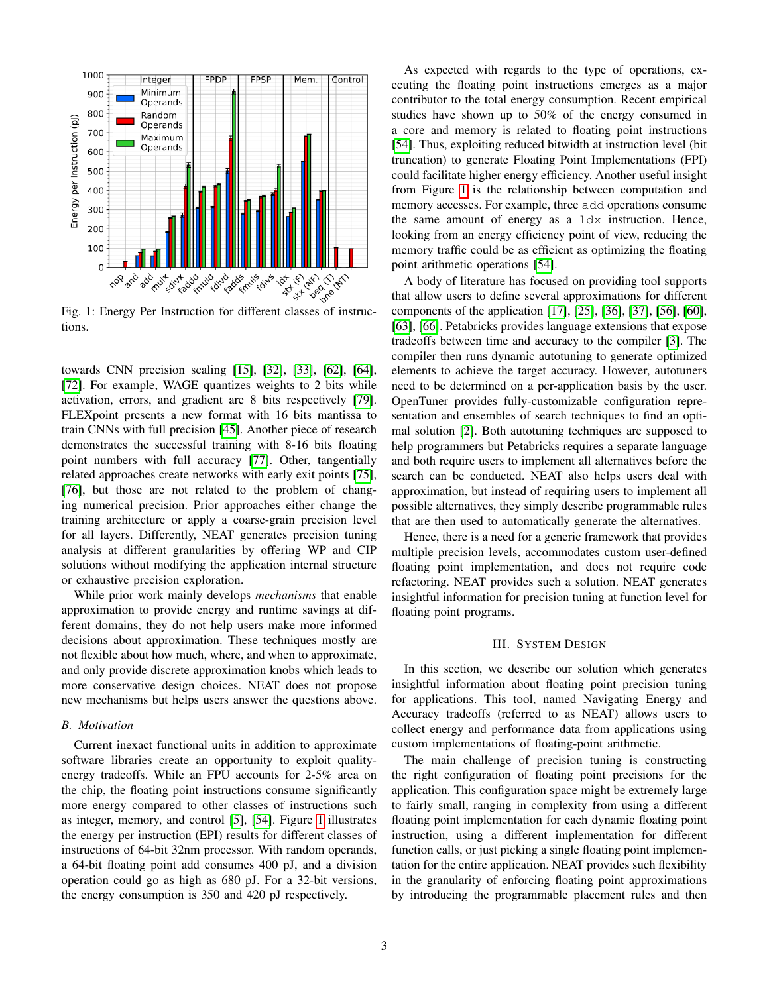<span id="page-2-0"></span>

tions.

towards CNN precision scaling [\[15\]](#page-11-17), [\[32\]](#page-12-12), [\[33\]](#page-12-13), [\[62\]](#page-13-12), [\[64\]](#page-13-0), [\[72\]](#page-13-13). For example, WAGE quantizes weights to 2 bits while activation, errors, and gradient are 8 bits respectively [\[79\]](#page-13-14). FLEXpoint presents a new format with 16 bits mantissa to train CNNs with full precision [\[45\]](#page-12-14). Another piece of research demonstrates the successful training with 8-16 bits floating point numbers with full accuracy [\[77\]](#page-13-2). Other, tangentially related approaches create networks with early exit points [\[75\]](#page-13-15), [\[76\]](#page-13-16), but those are not related to the problem of changing numerical precision. Prior approaches either change the training architecture or apply a coarse-grain precision level for all layers. Differently, NEAT generates precision tuning analysis at different granularities by offering WP and CIP solutions without modifying the application internal structure or exhaustive precision exploration.

While prior work mainly develops *mechanisms* that enable approximation to provide energy and runtime savings at different domains, they do not help users make more informed decisions about approximation. These techniques mostly are not flexible about how much, where, and when to approximate, and only provide discrete approximation knobs which leads to more conservative design choices. NEAT does not propose new mechanisms but helps users answer the questions above.

## *B. Motivation*

Current inexact functional units in addition to approximate software libraries create an opportunity to exploit qualityenergy tradeoffs. While an FPU accounts for 2-5% area on the chip, the floating point instructions consume significantly more energy compared to other classes of instructions such as integer, memory, and control [\[5\]](#page-11-18), [\[54\]](#page-12-15). Figure [1](#page-2-0) illustrates the energy per instruction (EPI) results for different classes of instructions of 64-bit 32nm processor. With random operands, a 64-bit floating point add consumes 400 pJ, and a division operation could go as high as 680 pJ. For a 32-bit versions, the energy consumption is 350 and 420 pJ respectively.

As expected with regards to the type of operations, executing the floating point instructions emerges as a major contributor to the total energy consumption. Recent empirical studies have shown up to 50% of the energy consumed in a core and memory is related to floating point instructions [\[54\]](#page-12-15). Thus, exploiting reduced bitwidth at instruction level (bit truncation) to generate Floating Point Implementations (FPI) could facilitate higher energy efficiency. Another useful insight from Figure [1](#page-2-0) is the relationship between computation and memory accesses. For example, three add operations consume the same amount of energy as a ldx instruction. Hence, looking from an energy efficiency point of view, reducing the memory traffic could be as efficient as optimizing the floating point arithmetic operations [\[54\]](#page-12-15).

A body of literature has focused on providing tool supports that allow users to define several approximations for different components of the application [\[17\]](#page-11-11), [\[25\]](#page-11-12), [\[36\]](#page-12-2), [\[37\]](#page-12-3), [\[56\]](#page-13-5), [\[60\]](#page-13-17), [\[63\]](#page-13-7), [\[66\]](#page-13-18). Petabricks provides language extensions that expose tradeoffs between time and accuracy to the compiler [\[3\]](#page-11-15). The compiler then runs dynamic autotuning to generate optimized elements to achieve the target accuracy. However, autotuners need to be determined on a per-application basis by the user. OpenTuner provides fully-customizable configuration representation and ensembles of search techniques to find an optimal solution [\[2\]](#page-11-19). Both autotuning techniques are supposed to help programmers but Petabricks requires a separate language and both require users to implement all alternatives before the search can be conducted. NEAT also helps users deal with approximation, but instead of requiring users to implement all possible alternatives, they simply describe programmable rules that are then used to automatically generate the alternatives.

Hence, there is a need for a generic framework that provides multiple precision levels, accommodates custom user-defined floating point implementation, and does not require code refactoring. NEAT provides such a solution. NEAT generates insightful information for precision tuning at function level for floating point programs.

#### III. SYSTEM DESIGN

In this section, we describe our solution which generates insightful information about floating point precision tuning for applications. This tool, named Navigating Energy and Accuracy tradeoffs (referred to as NEAT) allows users to collect energy and performance data from applications using custom implementations of floating-point arithmetic.

The main challenge of precision tuning is constructing the right configuration of floating point precisions for the application. This configuration space might be extremely large to fairly small, ranging in complexity from using a different floating point implementation for each dynamic floating point instruction, using a different implementation for different function calls, or just picking a single floating point implementation for the entire application. NEAT provides such flexibility in the granularity of enforcing floating point approximations by introducing the programmable placement rules and then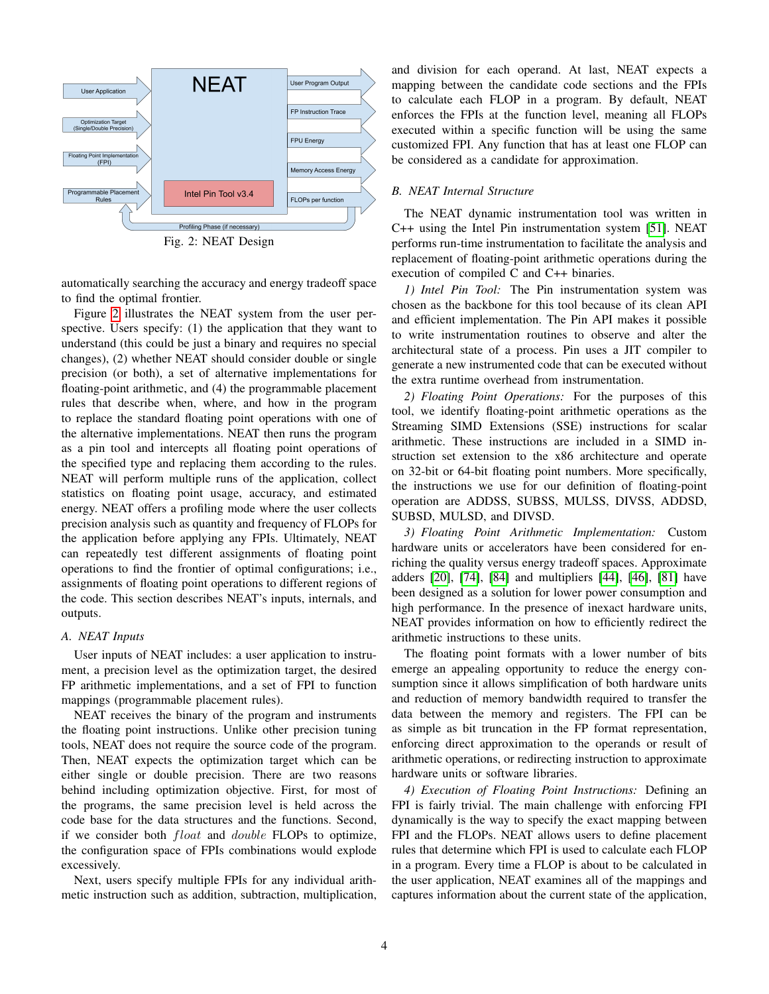<span id="page-3-0"></span>

Fig. 2: NEAT Design

automatically searching the accuracy and energy tradeoff space to find the optimal frontier.

Figure [2](#page-3-0) illustrates the NEAT system from the user perspective. Users specify: (1) the application that they want to understand (this could be just a binary and requires no special changes), (2) whether NEAT should consider double or single precision (or both), a set of alternative implementations for floating-point arithmetic, and (4) the programmable placement rules that describe when, where, and how in the program to replace the standard floating point operations with one of the alternative implementations. NEAT then runs the program as a pin tool and intercepts all floating point operations of the specified type and replacing them according to the rules. NEAT will perform multiple runs of the application, collect statistics on floating point usage, accuracy, and estimated energy. NEAT offers a profiling mode where the user collects precision analysis such as quantity and frequency of FLOPs for the application before applying any FPIs. Ultimately, NEAT can repeatedly test different assignments of floating point operations to find the frontier of optimal configurations; i.e., assignments of floating point operations to different regions of the code. This section describes NEAT's inputs, internals, and outputs.

## *A. NEAT Inputs*

User inputs of NEAT includes: a user application to instrument, a precision level as the optimization target, the desired FP arithmetic implementations, and a set of FPI to function mappings (programmable placement rules).

NEAT receives the binary of the program and instruments the floating point instructions. Unlike other precision tuning tools, NEAT does not require the source code of the program. Then, NEAT expects the optimization target which can be either single or double precision. There are two reasons behind including optimization objective. First, for most of the programs, the same precision level is held across the code base for the data structures and the functions. Second, if we consider both float and double FLOPs to optimize, the configuration space of FPIs combinations would explode excessively.

Next, users specify multiple FPIs for any individual arithmetic instruction such as addition, subtraction, multiplication, and division for each operand. At last, NEAT expects a mapping between the candidate code sections and the FPIs to calculate each FLOP in a program. By default, NEAT enforces the FPIs at the function level, meaning all FLOPs executed within a specific function will be using the same customized FPI. Any function that has at least one FLOP can be considered as a candidate for approximation.

## *B. NEAT Internal Structure*

The NEAT dynamic instrumentation tool was written in C++ using the Intel Pin instrumentation system [\[51\]](#page-12-1). NEAT performs run-time instrumentation to facilitate the analysis and replacement of floating-point arithmetic operations during the execution of compiled C and C++ binaries.

*1) Intel Pin Tool:* The Pin instrumentation system was chosen as the backbone for this tool because of its clean API and efficient implementation. The Pin API makes it possible to write instrumentation routines to observe and alter the architectural state of a process. Pin uses a JIT compiler to generate a new instrumented code that can be executed without the extra runtime overhead from instrumentation.

*2) Floating Point Operations:* For the purposes of this tool, we identify floating-point arithmetic operations as the Streaming SIMD Extensions (SSE) instructions for scalar arithmetic. These instructions are included in a SIMD instruction set extension to the x86 architecture and operate on 32-bit or 64-bit floating point numbers. More specifically, the instructions we use for our definition of floating-point operation are ADDSS, SUBSS, MULSS, DIVSS, ADDSD, SUBSD, MULSD, and DIVSD.

*3) Floating Point Arithmetic Implementation:* Custom hardware units or accelerators have been considered for enriching the quality versus energy tradeoff spaces. Approximate adders [\[20\]](#page-11-14), [\[74\]](#page-13-19), [\[84\]](#page-14-0) and multipliers [\[44\]](#page-12-6), [\[46\]](#page-12-7), [\[81\]](#page-13-11) have been designed as a solution for lower power consumption and high performance. In the presence of inexact hardware units, NEAT provides information on how to efficiently redirect the arithmetic instructions to these units.

The floating point formats with a lower number of bits emerge an appealing opportunity to reduce the energy consumption since it allows simplification of both hardware units and reduction of memory bandwidth required to transfer the data between the memory and registers. The FPI can be as simple as bit truncation in the FP format representation, enforcing direct approximation to the operands or result of arithmetic operations, or redirecting instruction to approximate hardware units or software libraries.

<span id="page-3-1"></span>*4) Execution of Floating Point Instructions:* Defining an FPI is fairly trivial. The main challenge with enforcing FPI dynamically is the way to specify the exact mapping between FPI and the FLOPs. NEAT allows users to define placement rules that determine which FPI is used to calculate each FLOP in a program. Every time a FLOP is about to be calculated in the user application, NEAT examines all of the mappings and captures information about the current state of the application,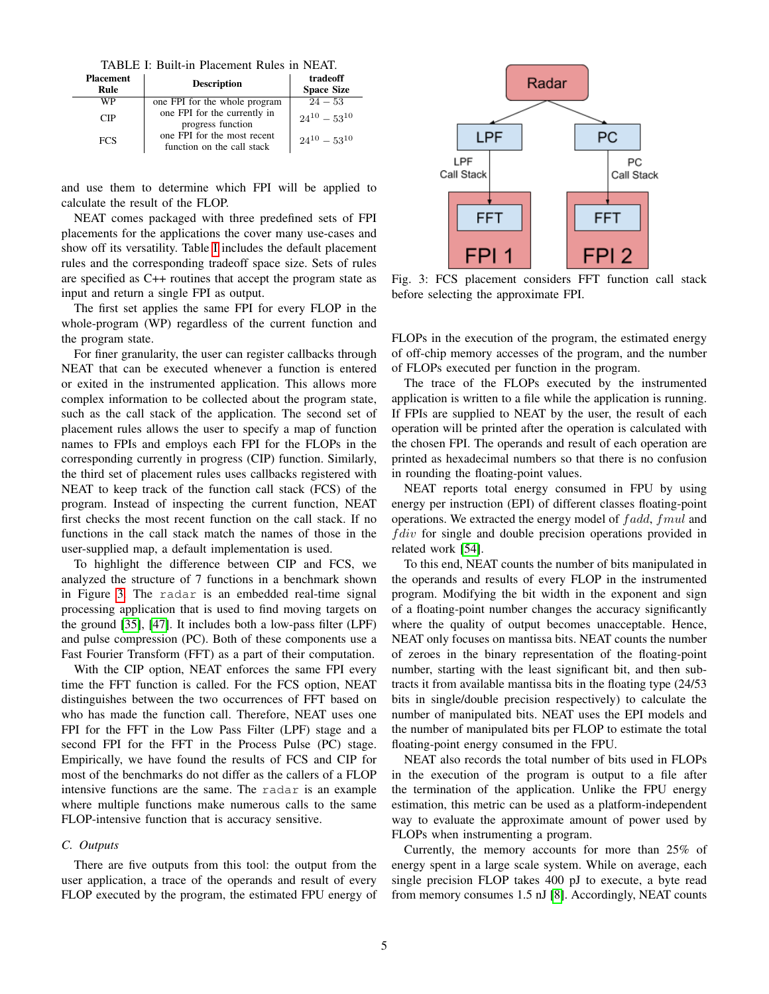TABLE I: Built-in Placement Rules in NEAT.

<span id="page-4-0"></span>

| <b>Placement</b><br>Rule | <b>Description</b>                                        | tradeoff<br><b>Space Size</b> |  |
|--------------------------|-----------------------------------------------------------|-------------------------------|--|
| WP                       | one FPI for the whole program                             | $24 - 53$                     |  |
| CIP                      | one FPI for the currently in<br>progress function         | $24^{10} - 53^{10}$           |  |
| <b>FCS</b>               | one FPI for the most recent<br>function on the call stack | $24^{10} - 53^{10}$           |  |

and use them to determine which FPI will be applied to calculate the result of the FLOP.

NEAT comes packaged with three predefined sets of FPI placements for the applications the cover many use-cases and show off its versatility. Table [I](#page-4-0) includes the default placement rules and the corresponding tradeoff space size. Sets of rules are specified as C++ routines that accept the program state as input and return a single FPI as output.

The first set applies the same FPI for every FLOP in the whole-program (WP) regardless of the current function and the program state.

For finer granularity, the user can register callbacks through NEAT that can be executed whenever a function is entered or exited in the instrumented application. This allows more complex information to be collected about the program state, such as the call stack of the application. The second set of placement rules allows the user to specify a map of function names to FPIs and employs each FPI for the FLOPs in the corresponding currently in progress (CIP) function. Similarly, the third set of placement rules uses callbacks registered with NEAT to keep track of the function call stack (FCS) of the program. Instead of inspecting the current function, NEAT first checks the most recent function on the call stack. If no functions in the call stack match the names of those in the user-supplied map, a default implementation is used.

To highlight the difference between CIP and FCS, we analyzed the structure of 7 functions in a benchmark shown in Figure [3.](#page-4-1) The radar is an embedded real-time signal processing application that is used to find moving targets on the ground [\[35\]](#page-12-16), [\[47\]](#page-12-17). It includes both a low-pass filter (LPF) and pulse compression (PC). Both of these components use a Fast Fourier Transform (FFT) as a part of their computation.

With the CIP option, NEAT enforces the same FPI every time the FFT function is called. For the FCS option, NEAT distinguishes between the two occurrences of FFT based on who has made the function call. Therefore, NEAT uses one FPI for the FFT in the Low Pass Filter (LPF) stage and a second FPI for the FFT in the Process Pulse (PC) stage. Empirically, we have found the results of FCS and CIP for most of the benchmarks do not differ as the callers of a FLOP intensive functions are the same. The radar is an example where multiple functions make numerous calls to the same FLOP-intensive function that is accuracy sensitive.

# *C. Outputs*

There are five outputs from this tool: the output from the user application, a trace of the operands and result of every FLOP executed by the program, the estimated FPU energy of

<span id="page-4-1"></span>

Fig. 3: FCS placement considers FFT function call stack before selecting the approximate FPI.

FLOPs in the execution of the program, the estimated energy of off-chip memory accesses of the program, and the number of FLOPs executed per function in the program.

The trace of the FLOPs executed by the instrumented application is written to a file while the application is running. If FPIs are supplied to NEAT by the user, the result of each operation will be printed after the operation is calculated with the chosen FPI. The operands and result of each operation are printed as hexadecimal numbers so that there is no confusion in rounding the floating-point values.

NEAT reports total energy consumed in FPU by using energy per instruction (EPI) of different classes floating-point operations. We extracted the energy model of fadd, fmul and  $f \, div$  for single and double precision operations provided in related work [\[54\]](#page-12-15).

To this end, NEAT counts the number of bits manipulated in the operands and results of every FLOP in the instrumented program. Modifying the bit width in the exponent and sign of a floating-point number changes the accuracy significantly where the quality of output becomes unacceptable. Hence, NEAT only focuses on mantissa bits. NEAT counts the number of zeroes in the binary representation of the floating-point number, starting with the least significant bit, and then subtracts it from available mantissa bits in the floating type (24/53 bits in single/double precision respectively) to calculate the number of manipulated bits. NEAT uses the EPI models and the number of manipulated bits per FLOP to estimate the total floating-point energy consumed in the FPU.

NEAT also records the total number of bits used in FLOPs in the execution of the program is output to a file after the termination of the application. Unlike the FPU energy estimation, this metric can be used as a platform-independent way to evaluate the approximate amount of power used by FLOPs when instrumenting a program.

Currently, the memory accounts for more than 25% of energy spent in a large scale system. While on average, each single precision FLOP takes 400 pJ to execute, a byte read from memory consumes 1.5 nJ [\[8\]](#page-11-20). Accordingly, NEAT counts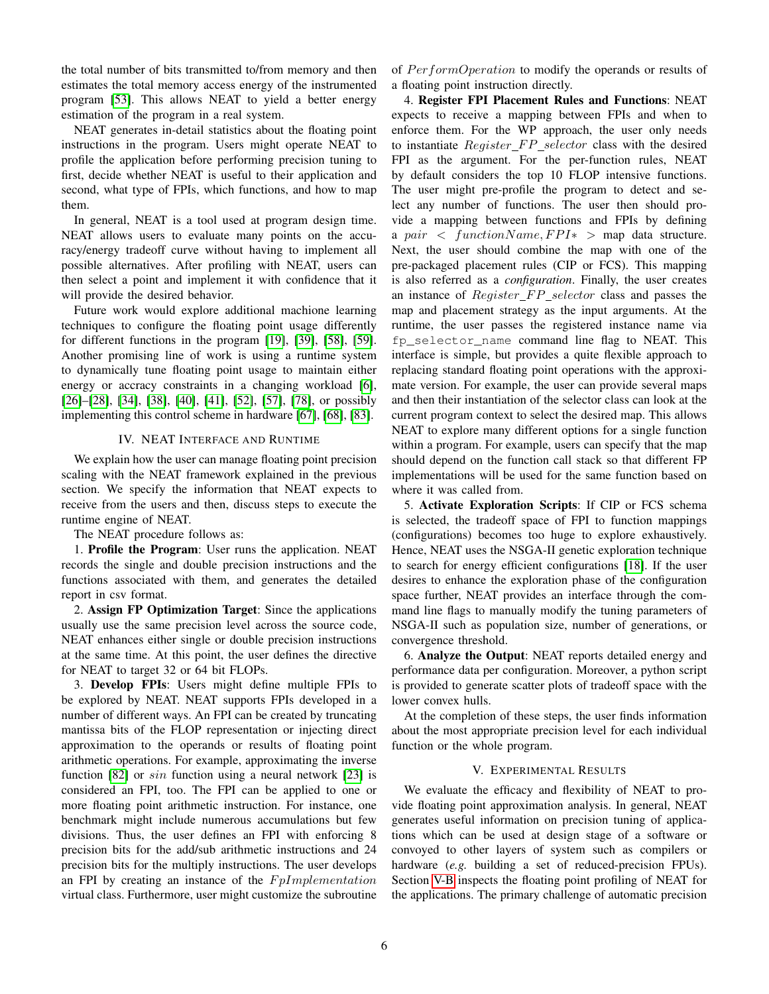the total number of bits transmitted to/from memory and then estimates the total memory access energy of the instrumented program [\[53\]](#page-12-18). This allows NEAT to yield a better energy estimation of the program in a real system.

NEAT generates in-detail statistics about the floating point instructions in the program. Users might operate NEAT to profile the application before performing precision tuning to first, decide whether NEAT is useful to their application and second, what type of FPIs, which functions, and how to map them.

In general, NEAT is a tool used at program design time. NEAT allows users to evaluate many points on the accuracy/energy tradeoff curve without having to implement all possible alternatives. After profiling with NEAT, users can then select a point and implement it with confidence that it will provide the desired behavior.

Future work would explore additional machione learning techniques to configure the floating point usage differently for different functions in the program [\[19\]](#page-11-21), [\[39\]](#page-12-19), [\[58\]](#page-13-20), [\[59\]](#page-13-21). Another promising line of work is using a runtime system to dynamically tune floating point usage to maintain either energy or accracy constraints in a changing workload [\[6\]](#page-11-22), [\[26\]](#page-12-20)–[\[28\]](#page-12-21), [\[34\]](#page-12-22), [\[38\]](#page-12-23), [\[40\]](#page-12-24), [\[41\]](#page-12-25), [\[52\]](#page-12-26), [\[57\]](#page-13-22), [\[78\]](#page-13-23), or possibly implementing this control scheme in hardware [\[67\]](#page-13-24), [\[68\]](#page-13-25), [\[83\]](#page-13-26).

## IV. NEAT INTERFACE AND RUNTIME

We explain how the user can manage floating point precision scaling with the NEAT framework explained in the previous section. We specify the information that NEAT expects to receive from the users and then, discuss steps to execute the runtime engine of NEAT.

The NEAT procedure follows as:

1. Profile the Program: User runs the application. NEAT records the single and double precision instructions and the functions associated with them, and generates the detailed report in csv format.

2. Assign FP Optimization Target: Since the applications usually use the same precision level across the source code, NEAT enhances either single or double precision instructions at the same time. At this point, the user defines the directive for NEAT to target 32 or 64 bit FLOPs.

3. Develop FPIs: Users might define multiple FPIs to be explored by NEAT. NEAT supports FPIs developed in a number of different ways. An FPI can be created by truncating mantissa bits of the FLOP representation or injecting direct approximation to the operands or results of floating point arithmetic operations. For example, approximating the inverse function [\[82\]](#page-13-27) or *sin* function using a neural network [\[23\]](#page-11-23) is considered an FPI, too. The FPI can be applied to one or more floating point arithmetic instruction. For instance, one benchmark might include numerous accumulations but few divisions. Thus, the user defines an FPI with enforcing 8 precision bits for the add/sub arithmetic instructions and 24 precision bits for the multiply instructions. The user develops an FPI by creating an instance of the  $FpImplementation$ virtual class. Furthermore, user might customize the subroutine

of PerformOperation to modify the operands or results of a floating point instruction directly.

4. Register FPI Placement Rules and Functions: NEAT expects to receive a mapping between FPIs and when to enforce them. For the WP approach, the user only needs to instantiate  $Register\_FP\_selector$  class with the desired FPI as the argument. For the per-function rules, NEAT by default considers the top 10 FLOP intensive functions. The user might pre-profile the program to detect and select any number of functions. The user then should provide a mapping between functions and FPIs by defining a pair < functionName,  $FPI*$  > map data structure. Next, the user should combine the map with one of the pre-packaged placement rules (CIP or FCS). This mapping is also referred as a *configuration*. Finally, the user creates an instance of  $Requester$   $FP$  selector class and passes the map and placement strategy as the input arguments. At the runtime, the user passes the registered instance name via fp\_selector\_name command line flag to NEAT. This interface is simple, but provides a quite flexible approach to replacing standard floating point operations with the approximate version. For example, the user can provide several maps and then their instantiation of the selector class can look at the current program context to select the desired map. This allows NEAT to explore many different options for a single function within a program. For example, users can specify that the map should depend on the function call stack so that different FP implementations will be used for the same function based on where it was called from.

5. Activate Exploration Scripts: If CIP or FCS schema is selected, the tradeoff space of FPI to function mappings (configurations) becomes too huge to explore exhaustively. Hence, NEAT uses the NSGA-II genetic exploration technique to search for energy efficient configurations [\[18\]](#page-11-24). If the user desires to enhance the exploration phase of the configuration space further, NEAT provides an interface through the command line flags to manually modify the tuning parameters of NSGA-II such as population size, number of generations, or convergence threshold.

6. Analyze the Output: NEAT reports detailed energy and performance data per configuration. Moreover, a python script is provided to generate scatter plots of tradeoff space with the lower convex hulls.

At the completion of these steps, the user finds information about the most appropriate precision level for each individual function or the whole program.

# V. EXPERIMENTAL RESULTS

We evaluate the efficacy and flexibility of NEAT to provide floating point approximation analysis. In general, NEAT generates useful information on precision tuning of applications which can be used at design stage of a software or convoyed to other layers of system such as compilers or hardware (*e.g.* building a set of reduced-precision FPUs). Section [V-B](#page-6-0) inspects the floating point profiling of NEAT for the applications. The primary challenge of automatic precision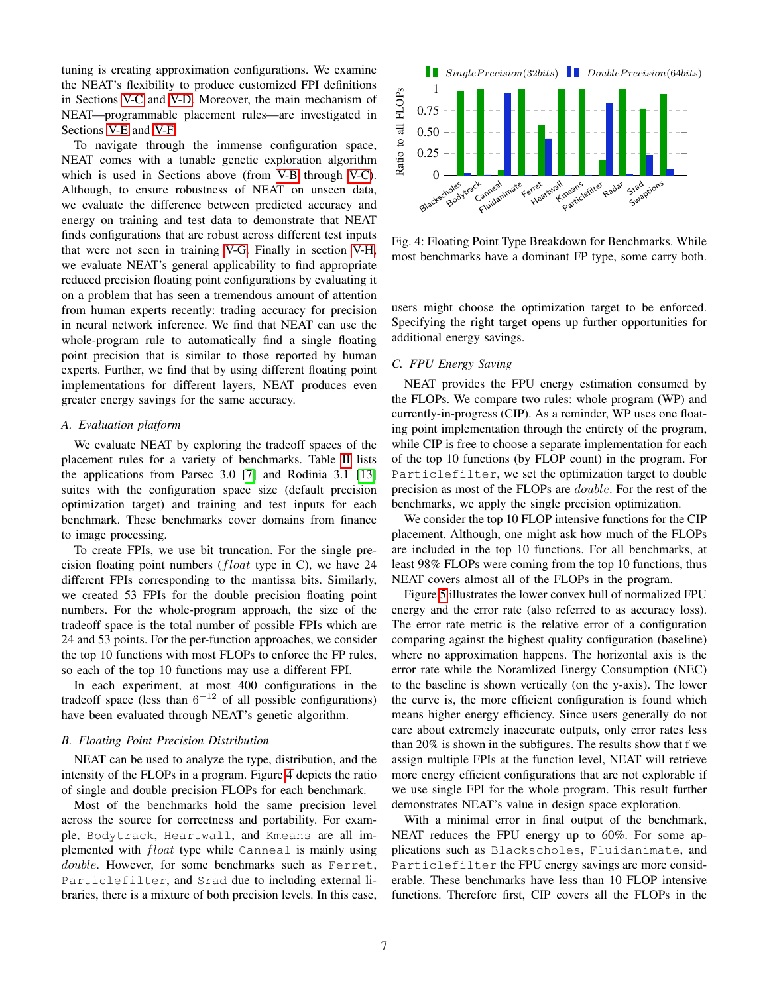tuning is creating approximation configurations. We examine the NEAT's flexibility to produce customized FPI definitions in Sections [V-C](#page-6-1) and [V-D.](#page-8-0) Moreover, the main mechanism of NEAT—programmable placement rules—are investigated in Sections [V-E](#page-8-1) and [V-F.](#page-8-2)

To navigate through the immense configuration space, NEAT comes with a tunable genetic exploration algorithm which is used in Sections above (from [V-B](#page-6-0) through [V-C\)](#page-6-1). Although, to ensure robustness of NEAT on unseen data, we evaluate the difference between predicted accuracy and energy on training and test data to demonstrate that NEAT finds configurations that are robust across different test inputs that were not seen in training [V-G.](#page-8-3) Finally in section [V-H,](#page-9-0) we evaluate NEAT's general applicability to find appropriate reduced precision floating point configurations by evaluating it on a problem that has seen a tremendous amount of attention from human experts recently: trading accuracy for precision in neural network inference. We find that NEAT can use the whole-program rule to automatically find a single floating point precision that is similar to those reported by human experts. Further, we find that by using different floating point implementations for different layers, NEAT produces even greater energy savings for the same accuracy.

## *A. Evaluation platform*

We evaluate NEAT by exploring the tradeoff spaces of the placement rules for a variety of benchmarks. Table [II](#page-7-0) lists the applications from Parsec 3.0 [\[7\]](#page-11-8) and Rodinia 3.1 [\[13\]](#page-11-9) suites with the configuration space size (default precision optimization target) and training and test inputs for each benchmark. These benchmarks cover domains from finance to image processing.

To create FPIs, we use bit truncation. For the single precision floating point numbers ( $float$  type in C), we have 24 different FPIs corresponding to the mantissa bits. Similarly, we created 53 FPIs for the double precision floating point numbers. For the whole-program approach, the size of the tradeoff space is the total number of possible FPIs which are 24 and 53 points. For the per-function approaches, we consider the top 10 functions with most FLOPs to enforce the FP rules, so each of the top 10 functions may use a different FPI.

In each experiment, at most 400 configurations in the tradeoff space (less than  $6^{-12}$  of all possible configurations) have been evaluated through NEAT's genetic algorithm.

#### <span id="page-6-0"></span>*B. Floating Point Precision Distribution*

NEAT can be used to analyze the type, distribution, and the intensity of the FLOPs in a program. Figure [4](#page-6-2) depicts the ratio of single and double precision FLOPs for each benchmark.

Most of the benchmarks hold the same precision level across the source for correctness and portability. For example, Bodytrack, Heartwall, and Kmeans are all implemented with *float* type while Canneal is mainly using double. However, for some benchmarks such as Ferret, Particlefilter, and Srad due to including external libraries, there is a mixture of both precision levels. In this case,

<span id="page-6-2"></span>

Fig. 4: Floating Point Type Breakdown for Benchmarks. While most benchmarks have a dominant FP type, some carry both.

users might choose the optimization target to be enforced. Specifying the right target opens up further opportunities for additional energy savings.

# <span id="page-6-1"></span>*C. FPU Energy Saving*

NEAT provides the FPU energy estimation consumed by the FLOPs. We compare two rules: whole program (WP) and currently-in-progress (CIP). As a reminder, WP uses one floating point implementation through the entirety of the program, while CIP is free to choose a separate implementation for each of the top 10 functions (by FLOP count) in the program. For Particlefilter, we set the optimization target to double precision as most of the FLOPs are double. For the rest of the benchmarks, we apply the single precision optimization.

We consider the top 10 FLOP intensive functions for the CIP placement. Although, one might ask how much of the FLOPs are included in the top 10 functions. For all benchmarks, at least 98% FLOPs were coming from the top 10 functions, thus NEAT covers almost all of the FLOPs in the program.

Figure [5](#page-7-1) illustrates the lower convex hull of normalized FPU energy and the error rate (also referred to as accuracy loss). The error rate metric is the relative error of a configuration comparing against the highest quality configuration (baseline) where no approximation happens. The horizontal axis is the error rate while the Noramlized Energy Consumption (NEC) to the baseline is shown vertically (on the y-axis). The lower the curve is, the more efficient configuration is found which means higher energy efficiency. Since users generally do not care about extremely inaccurate outputs, only error rates less than 20% is shown in the subfigures. The results show that f we assign multiple FPIs at the function level, NEAT will retrieve more energy efficient configurations that are not explorable if we use single FPI for the whole program. This result further demonstrates NEAT's value in design space exploration.

With a minimal error in final output of the benchmark, NEAT reduces the FPU energy up to 60%. For some applications such as Blackscholes, Fluidanimate, and Particlefilter the FPU energy savings are more considerable. These benchmarks have less than 10 FLOP intensive functions. Therefore first, CIP covers all the FLOPs in the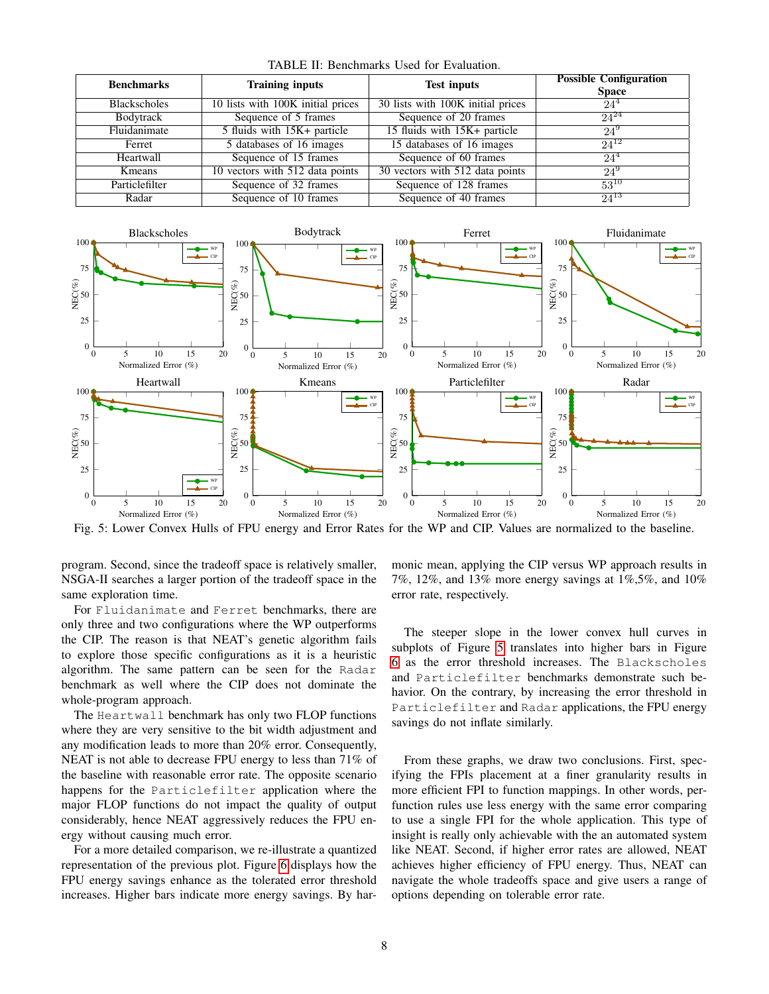<span id="page-7-0"></span>

| <b>Benchmarks</b>   | <b>Training inputs</b>              | <b>Test inputs</b>                | <b>Possible Configuration</b><br><b>Space</b> |  |  |  |  |
|---------------------|-------------------------------------|-----------------------------------|-----------------------------------------------|--|--|--|--|
| <b>Blackscholes</b> | 10 lists with 100K initial prices   | 30 lists with 100K initial prices | $24^4$                                        |  |  |  |  |
| Bodytrack           | Sequence of 5 frames                | Sequence of 20 frames             | $24^{24}$                                     |  |  |  |  |
| Fluidanimate        | 5 fluids with 15K+ particle         | 15 fluids with 15K+ particle      | $24^{9}$                                      |  |  |  |  |
| Ferret              | 5 databases of 16 images            | 15 databases of 16 images         | $24^{12}$                                     |  |  |  |  |
| Heartwall           | Sequence of 15 frames               | Sequence of 60 frames             | $24^4$                                        |  |  |  |  |
| Kmeans              | $10$ vectors with $512$ data points | 30 vectors with 512 data points   | $24^{9}$                                      |  |  |  |  |
| Particlefilter      | Sequence of 32 frames               | Sequence of 128 frames            | $53^{10}$                                     |  |  |  |  |
| Radar               | Sequence of 10 frames               | Sequence of 40 frames             | $24^{13}$                                     |  |  |  |  |

TABLE II: Benchmarks Used for Evaluation.

<span id="page-7-1"></span>

Fig. 5: Lower Convex Hulls of FPU energy and Error Rates for the WP and CIP. Values are normalized to the baseline.

program. Second, since the tradeoff space is relatively smaller, NSGA-II searches a larger portion of the tradeoff space in the same exploration time.

For Fluidanimate and Ferret benchmarks, there are only three and two configurations where the WP outperforms the CIP. The reason is that NEAT's genetic algorithm fails to explore those specific configurations as it is a heuristic algorithm. The same pattern can be seen for the Radar benchmark as well where the CIP does not dominate the whole-program approach.

The Heartwall benchmark has only two FLOP functions where they are very sensitive to the bit width adjustment and any modification leads to more than 20% error. Consequently, NEAT is not able to decrease FPU energy to less than 71% of the baseline with reasonable error rate. The opposite scenario happens for the Particlefilter application where the major FLOP functions do not impact the quality of output considerably, hence NEAT aggressively reduces the FPU energy without causing much error.

For a more detailed comparison, we re-illustrate a quantized representation of the previous plot. Figure [6](#page-8-4) displays how the FPU energy savings enhance as the tolerated error threshold increases. Higher bars indicate more energy savings. By harmonic mean, applying the CIP versus WP approach results in 7%, 12%, and 13% more energy savings at 1%,5%, and 10% error rate, respectively.

The steeper slope in the lower convex hull curves in subplots of Figure [5](#page-7-1) translates into higher bars in Figure [6](#page-8-4) as the error threshold increases. The Blackscholes and Particlefilter benchmarks demonstrate such behavior. On the contrary, by increasing the error threshold in Particlefilter and Radar applications, the FPU energy savings do not inflate similarly.

From these graphs, we draw two conclusions. First, specifying the FPIs placement at a finer granularity results in more efficient FPI to function mappings. In other words, perfunction rules use less energy with the same error comparing to use a single FPI for the whole application. This type of insight is really only achievable with the an automated system like NEAT. Second, if higher error rates are allowed, NEAT achieves higher efficiency of FPU energy. Thus, NEAT can navigate the whole tradeoffs space and give users a range of options depending on tolerable error rate.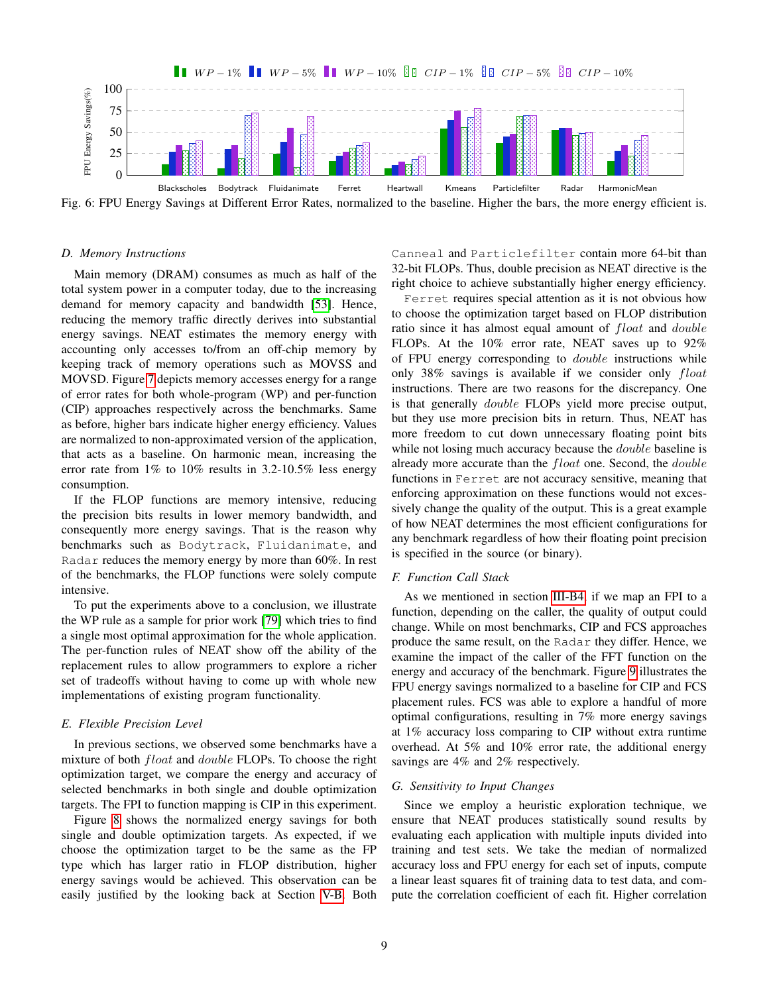<span id="page-8-4"></span>

Fig. 6: FPU Energy Savings at Different Error Rates, normalized to the baseline. Higher the bars, the more energy efficient is.

## <span id="page-8-0"></span>*D. Memory Instructions*

Main memory (DRAM) consumes as much as half of the total system power in a computer today, due to the increasing demand for memory capacity and bandwidth [\[53\]](#page-12-18). Hence, reducing the memory traffic directly derives into substantial energy savings. NEAT estimates the memory energy with accounting only accesses to/from an off-chip memory by keeping track of memory operations such as MOVSS and MOVSD. Figure [7](#page-9-1) depicts memory accesses energy for a range of error rates for both whole-program (WP) and per-function (CIP) approaches respectively across the benchmarks. Same as before, higher bars indicate higher energy efficiency. Values are normalized to non-approximated version of the application, that acts as a baseline. On harmonic mean, increasing the error rate from 1% to 10% results in 3.2-10.5% less energy consumption.

If the FLOP functions are memory intensive, reducing the precision bits results in lower memory bandwidth, and consequently more energy savings. That is the reason why benchmarks such as Bodytrack, Fluidanimate, and Radar reduces the memory energy by more than 60%. In rest of the benchmarks, the FLOP functions were solely compute intensive.

To put the experiments above to a conclusion, we illustrate the WP rule as a sample for prior work [\[79\]](#page-13-14) which tries to find a single most optimal approximation for the whole application. The per-function rules of NEAT show off the ability of the replacement rules to allow programmers to explore a richer set of tradeoffs without having to come up with whole new implementations of existing program functionality.

## <span id="page-8-1"></span>*E. Flexible Precision Level*

In previous sections, we observed some benchmarks have a mixture of both *float* and *double* FLOPs. To choose the right optimization target, we compare the energy and accuracy of selected benchmarks in both single and double optimization targets. The FPI to function mapping is CIP in this experiment.

Figure [8](#page-9-2) shows the normalized energy savings for both single and double optimization targets. As expected, if we choose the optimization target to be the same as the FP type which has larger ratio in FLOP distribution, higher energy savings would be achieved. This observation can be easily justified by the looking back at Section [V-B.](#page-6-0) Both

Canneal and Particlefilter contain more 64-bit than 32-bit FLOPs. Thus, double precision as NEAT directive is the right choice to achieve substantially higher energy efficiency.

Ferret requires special attention as it is not obvious how to choose the optimization target based on FLOP distribution ratio since it has almost equal amount of *float* and *double* FLOPs. At the 10% error rate, NEAT saves up to 92% of FPU energy corresponding to double instructions while only 38% savings is available if we consider only float instructions. There are two reasons for the discrepancy. One is that generally double FLOPs yield more precise output, but they use more precision bits in return. Thus, NEAT has more freedom to cut down unnecessary floating point bits while not losing much accuracy because the *double* baseline is already more accurate than the float one. Second, the double functions in Ferret are not accuracy sensitive, meaning that enforcing approximation on these functions would not excessively change the quality of the output. This is a great example of how NEAT determines the most efficient configurations for any benchmark regardless of how their floating point precision is specified in the source (or binary).

## <span id="page-8-2"></span>*F. Function Call Stack*

As we mentioned in section [III-B4,](#page-3-1) if we map an FPI to a function, depending on the caller, the quality of output could change. While on most benchmarks, CIP and FCS approaches produce the same result, on the Radar they differ. Hence, we examine the impact of the caller of the FFT function on the energy and accuracy of the benchmark. Figure [9](#page-9-3) illustrates the FPU energy savings normalized to a baseline for CIP and FCS placement rules. FCS was able to explore a handful of more optimal configurations, resulting in 7% more energy savings at 1% accuracy loss comparing to CIP without extra runtime overhead. At 5% and 10% error rate, the additional energy savings are 4% and 2% respectively.

## <span id="page-8-3"></span>*G. Sensitivity to Input Changes*

Since we employ a heuristic exploration technique, we ensure that NEAT produces statistically sound results by evaluating each application with multiple inputs divided into training and test sets. We take the median of normalized accuracy loss and FPU energy for each set of inputs, compute a linear least squares fit of training data to test data, and compute the correlation coefficient of each fit. Higher correlation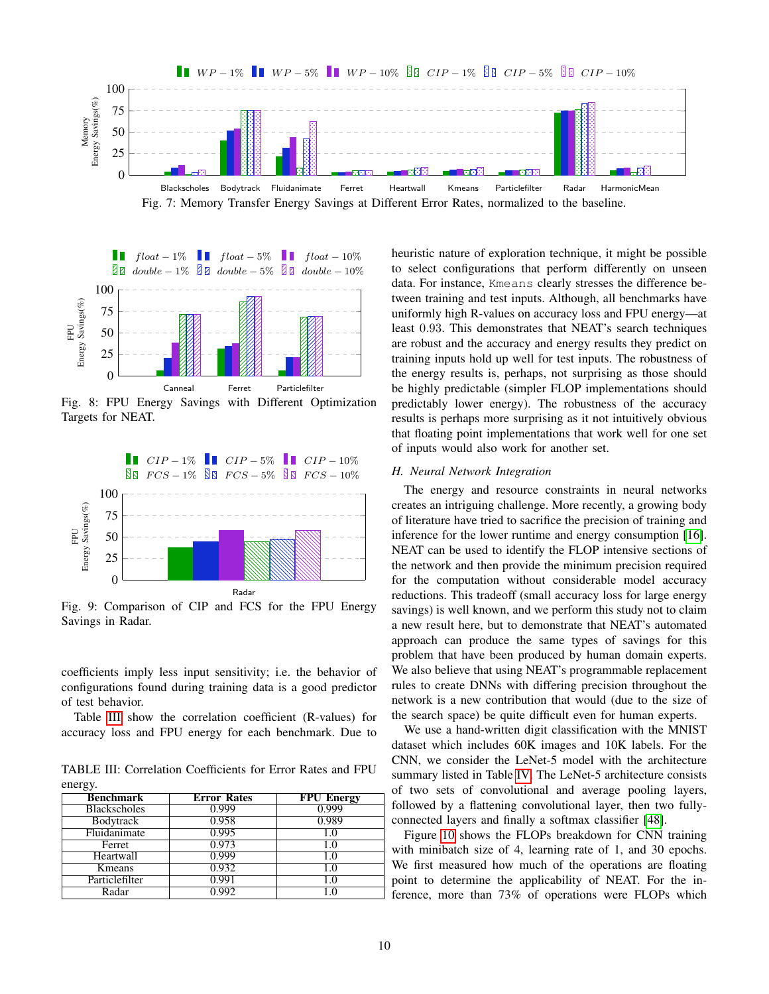<span id="page-9-1"></span>

<span id="page-9-2"></span>

Fig. 8: FPU Energy Savings with Different Optimization Targets for NEAT.

<span id="page-9-3"></span>

Fig. 9: Comparison of CIP and FCS for the FPU Energy Savings in Radar.

coefficients imply less input sensitivity; i.e. the behavior of configurations found during training data is a good predictor of test behavior.

Table [III](#page-9-4) show the correlation coefficient (R-values) for accuracy loss and FPU energy for each benchmark. Due to

<span id="page-9-4"></span>TABLE III: Correlation Coefficients for Error Rates and FPU energy.

| <b>Benchmark</b>    | <b>Error Rates</b> | <b>FPU Energy</b> |
|---------------------|--------------------|-------------------|
| <b>Blackscholes</b> | 0.999              | 0.999             |
| <b>Bodytrack</b>    | 0.958              | 0.989             |
| Fluidanimate        | 0.995              |                   |
| Ferret              | 0.973              | 1.0               |
| Heartwall           | 0.999              | 1.0               |
| Kmeans              | 0.932              | 1.0               |
| Particlefilter      | 0.991              | 1.0               |
| Radar               | 0.992              | 1.0               |

heuristic nature of exploration technique, it might be possible to select configurations that perform differently on unseen data. For instance, Kmeans clearly stresses the difference between training and test inputs. Although, all benchmarks have uniformly high R-values on accuracy loss and FPU energy—at least 0.93. This demonstrates that NEAT's search techniques are robust and the accuracy and energy results they predict on training inputs hold up well for test inputs. The robustness of the energy results is, perhaps, not surprising as those should be highly predictable (simpler FLOP implementations should predictably lower energy). The robustness of the accuracy results is perhaps more surprising as it not intuitively obvious that floating point implementations that work well for one set of inputs would also work for another set.

## <span id="page-9-0"></span>*H. Neural Network Integration*

The energy and resource constraints in neural networks creates an intriguing challenge. More recently, a growing body of literature have tried to sacrifice the precision of training and inference for the lower runtime and energy consumption [\[16\]](#page-11-4). NEAT can be used to identify the FLOP intensive sections of the network and then provide the minimum precision required for the computation without considerable model accuracy reductions. This tradeoff (small accuracy loss for large energy savings) is well known, and we perform this study not to claim a new result here, but to demonstrate that NEAT's automated approach can produce the same types of savings for this problem that have been produced by human domain experts. We also believe that using NEAT's programmable replacement rules to create DNNs with differing precision throughout the network is a new contribution that would (due to the size of the search space) be quite difficult even for human experts.

We use a hand-written digit classification with the MNIST dataset which includes 60K images and 10K labels. For the CNN, we consider the LeNet-5 model with the architecture summary listed in Table [IV.](#page-10-0) The LeNet-5 architecture consists of two sets of convolutional and average pooling layers, followed by a flattening convolutional layer, then two fullyconnected layers and finally a softmax classifier [\[48\]](#page-12-27).

Figure [10](#page-10-1) shows the FLOPs breakdown for CNN training with minibatch size of 4, learning rate of 1, and 30 epochs. We first measured how much of the operations are floating point to determine the applicability of NEAT. For the inference, more than 73% of operations were FLOPs which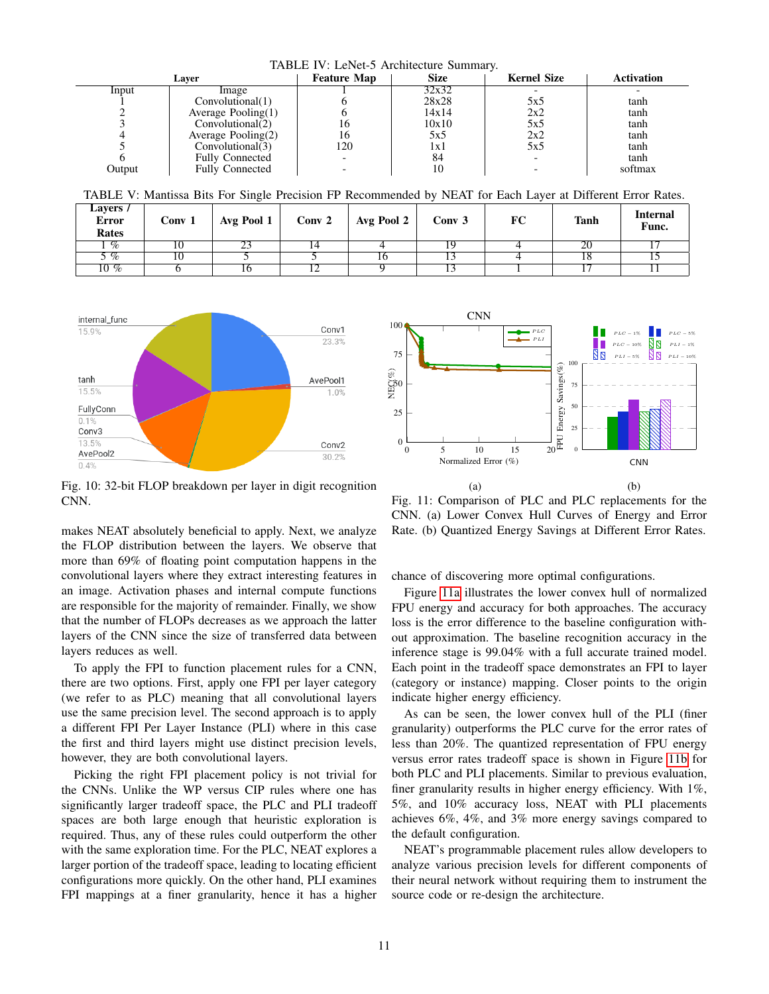<span id="page-10-0"></span>TABLE IV: LeNet-5 Architecture Summary. Layer **Feature Map** Size Kernel Size Activation  $Input$   $Image$   $1$   $32x32$  -1<br>
1 1 Convolutional(1) 1 32x32<br>
2 2x28 5x5 tanh<br>
2 2x2 1 2x2 tanh 2 Average Pooling(1)  $\begin{array}{|c|c|c|c|c|c|c|c|} \hline 2 & 2x2 & 5x5 \\ 3 & 16 & 10x10 & 5x5 \\ \hline \end{array}$  tanh  $\begin{array}{c|c|c|c|c|c} 3 & \text{Convolutional} (2) & 16 & 10x10 & 5x5 & 1x1h \\ 4 & \text{Average Pooling} (2) & 16 & 5x5 & 2x2 & 1x1h \end{array}$ 4 Average Pooling(2) 16 5x5 2x2 tanh<br>5 Convolutional(3) 120 1x1 5x5 tanh  $\begin{array}{c|c}\n5 & \text{Convolutional}(\bar{3}) \\
6 & \text{Fully Connected}\n\end{array}$ 6 Fully Connected - 84 - tanh<br>
Output Fully Connected - 10 - softma Fully Connected  $\vert$  - 10 - - softmax

<span id="page-10-3"></span>TABLE V: Mantissa Bits For Single Precision FP Recommended by NEAT for Each Layer at Different Error Rates.

| Layers /<br><b>Error</b><br>Rates | Conv 1 | Avg Pool 1 | Conv 2 | $^+$ Avg Pool 2 $+$ | Conv 3 | FC | <b>Tanh</b> | <b>Internal</b><br>Func. |
|-----------------------------------|--------|------------|--------|---------------------|--------|----|-------------|--------------------------|
| $\%$                              | 10     | رے         |        |                     |        |    | 20          |                          |
| $\overline{\mathcal{A}}$          | 10     |            |        | 10                  |        |    | 10          |                          |
| $10\%$                            |        | 10         |        |                     |        |    |             |                          |

<span id="page-10-1"></span>

Fig. 10: 32-bit FLOP breakdown per layer in digit recognition CNN.

makes NEAT absolutely beneficial to apply. Next, we analyze the FLOP distribution between the layers. We observe that more than 69% of floating point computation happens in the convolutional layers where they extract interesting features in an image. Activation phases and internal compute functions are responsible for the majority of remainder. Finally, we show that the number of FLOPs decreases as we approach the latter layers of the CNN since the size of transferred data between layers reduces as well.

To apply the FPI to function placement rules for a CNN, there are two options. First, apply one FPI per layer category (we refer to as PLC) meaning that all convolutional layers use the same precision level. The second approach is to apply a different FPI Per Layer Instance (PLI) where in this case the first and third layers might use distinct precision levels, however, they are both convolutional layers.

Picking the right FPI placement policy is not trivial for the CNNs. Unlike the WP versus CIP rules where one has significantly larger tradeoff space, the PLC and PLI tradeoff spaces are both large enough that heuristic exploration is required. Thus, any of these rules could outperform the other with the same exploration time. For the PLC, NEAT explores a larger portion of the tradeoff space, leading to locating efficient configurations more quickly. On the other hand, PLI examines FPI mappings at a finer granularity, hence it has a higher

<span id="page-10-2"></span>

Fig. 11: Comparison of PLC and PLC replacements for the CNN. (a) Lower Convex Hull Curves of Energy and Error Rate. (b) Quantized Energy Savings at Different Error Rates.

chance of discovering more optimal configurations.

Figure [11a](#page-10-2) illustrates the lower convex hull of normalized FPU energy and accuracy for both approaches. The accuracy loss is the error difference to the baseline configuration without approximation. The baseline recognition accuracy in the inference stage is 99.04% with a full accurate trained model. Each point in the tradeoff space demonstrates an FPI to layer (category or instance) mapping. Closer points to the origin indicate higher energy efficiency.

As can be seen, the lower convex hull of the PLI (finer granularity) outperforms the PLC curve for the error rates of less than 20%. The quantized representation of FPU energy versus error rates tradeoff space is shown in Figure [11b](#page-10-2) for both PLC and PLI placements. Similar to previous evaluation, finer granularity results in higher energy efficiency. With 1%, 5%, and 10% accuracy loss, NEAT with PLI placements achieves 6%, 4%, and 3% more energy savings compared to the default configuration.

NEAT's programmable placement rules allow developers to analyze various precision levels for different components of their neural network without requiring them to instrument the source code or re-design the architecture.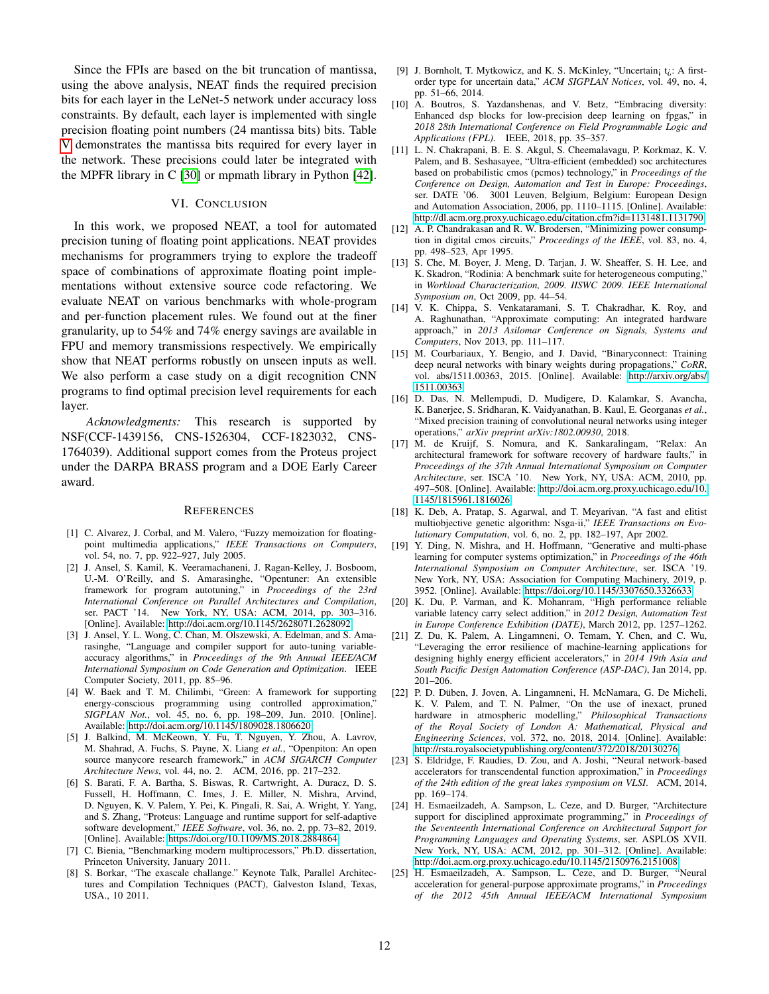Since the FPIs are based on the bit truncation of mantissa, using the above analysis, NEAT finds the required precision bits for each layer in the LeNet-5 network under accuracy loss constraints. By default, each layer is implemented with single precision floating point numbers (24 mantissa bits) bits. Table [V](#page-10-3) demonstrates the mantissa bits required for every layer in the network. These precisions could later be integrated with the MPFR library in C [\[30\]](#page-12-0) or mpmath library in Python [\[42\]](#page-12-28).

## VI. CONCLUSION

In this work, we proposed NEAT, a tool for automated precision tuning of floating point applications. NEAT provides mechanisms for programmers trying to explore the tradeoff space of combinations of approximate floating point implementations without extensive source code refactoring. We evaluate NEAT on various benchmarks with whole-program and per-function placement rules. We found out at the finer granularity, up to 54% and 74% energy savings are available in FPU and memory transmissions respectively. We empirically show that NEAT performs robustly on unseen inputs as well. We also perform a case study on a digit recognition CNN programs to find optimal precision level requirements for each layer.

*Acknowledgments:* This research is supported by NSF(CCF-1439156, CNS-1526304, CCF-1823032, CNS-1764039). Additional support comes from the Proteus project under the DARPA BRASS program and a DOE Early Career award.

#### **REFERENCES**

- <span id="page-11-10"></span>[1] C. Alvarez, J. Corbal, and M. Valero, "Fuzzy memoization for floatingpoint multimedia applications," *IEEE Transactions on Computers*, vol. 54, no. 7, pp. 922–927, July 2005.
- <span id="page-11-19"></span>[2] J. Ansel, S. Kamil, K. Veeramachaneni, J. Ragan-Kelley, J. Bosboom, U.-M. O'Reilly, and S. Amarasinghe, "Opentuner: An extensible framework for program autotuning," in *Proceedings of the 23rd International Conference on Parallel Architectures and Compilation*, ser. PACT '14. New York, NY, USA: ACM, 2014, pp. 303-316. [Online]. Available:<http://doi.acm.org/10.1145/2628071.2628092>
- <span id="page-11-15"></span>[3] J. Ansel, Y. L. Wong, C. Chan, M. Olszewski, A. Edelman, and S. Amarasinghe, "Language and compiler support for auto-tuning variableaccuracy algorithms," in *Proceedings of the 9th Annual IEEE/ACM International Symposium on Code Generation and Optimization*. IEEE Computer Society, 2011, pp. 85–96.
- <span id="page-11-16"></span>[4] W. Baek and T. M. Chilimbi, "Green: A framework for supporting energy-conscious programming using controlled approximation, *SIGPLAN Not.*, vol. 45, no. 6, pp. 198–209, Jun. 2010. [Online]. Available:<http://doi.acm.org/10.1145/1809028.1806620>
- <span id="page-11-18"></span>[5] J. Balkind, M. McKeown, Y. Fu, T. Nguyen, Y. Zhou, A. Lavrov, M. Shahrad, A. Fuchs, S. Payne, X. Liang *et al.*, "Openpiton: An open source manycore research framework," in *ACM SIGARCH Computer Architecture News*, vol. 44, no. 2. ACM, 2016, pp. 217–232.
- <span id="page-11-22"></span>[6] S. Barati, F. A. Bartha, S. Biswas, R. Cartwright, A. Duracz, D. S. Fussell, H. Hoffmann, C. Imes, J. E. Miller, N. Mishra, Arvind, D. Nguyen, K. V. Palem, Y. Pei, K. Pingali, R. Sai, A. Wright, Y. Yang, and S. Zhang, "Proteus: Language and runtime support for self-adaptive software development," *IEEE Software*, vol. 36, no. 2, pp. 73–82, 2019. [Online]. Available:<https://doi.org/10.1109/MS.2018.2884864>
- <span id="page-11-8"></span>[7] C. Bienia, "Benchmarking modern multiprocessors," Ph.D. dissertation, Princeton University, January 2011.
- <span id="page-11-20"></span>[8] S. Borkar, "The exascale challange." Keynote Talk, Parallel Architectures and Compilation Techniques (PACT), Galveston Island, Texas, USA., 10 2011.
- <span id="page-11-6"></span>[9] J. Bornholt, T. Mytkowicz, and K. S. McKinley, "Uncertain; t<sub>i</sub>: A firstorder type for uncertain data," *ACM SIGPLAN Notices*, vol. 49, no. 4, pp. 51–66, 2014.
- <span id="page-11-5"></span>[10] A. Boutros, S. Yazdanshenas, and V. Betz, "Embracing diversity: Enhanced dsp blocks for low-precision deep learning on fpgas," in *2018 28th International Conference on Field Programmable Logic and Applications (FPL)*. IEEE, 2018, pp. 35–357.
- <span id="page-11-0"></span>[11] L. N. Chakrapani, B. E. S. Akgul, S. Cheemalavagu, P. Korkmaz, K. V. Palem, and B. Seshasayee, "Ultra-efficient (embedded) soc architectures based on probabilistic cmos (pcmos) technology," in *Proceedings of the Conference on Design, Automation and Test in Europe: Proceedings*, ser. DATE '06. 3001 Leuven, Belgium, Belgium: European Design and Automation Association, 2006, pp. 1110–1115. [Online]. Available: <http://dl.acm.org.proxy.uchicago.edu/citation.cfm?id=1131481.1131790>
- <span id="page-11-1"></span>[12] A. P. Chandrakasan and R. W. Brodersen, "Minimizing power consumption in digital cmos circuits," *Proceedings of the IEEE*, vol. 83, no. 4, pp. 498–523, Apr 1995.
- <span id="page-11-9"></span>[13] S. Che, M. Boyer, J. Meng, D. Tarjan, J. W. Sheaffer, S. H. Lee, and K. Skadron, "Rodinia: A benchmark suite for heterogeneous computing," in *Workload Characterization, 2009. IISWC 2009. IEEE International Symposium on*, Oct 2009, pp. 44–54.
- <span id="page-11-13"></span>[14] V. K. Chippa, S. Venkataramani, S. T. Chakradhar, K. Roy, and A. Raghunathan, "Approximate computing: An integrated hardware approach," in *2013 Asilomar Conference on Signals, Systems and Computers*, Nov 2013, pp. 111–117.
- <span id="page-11-17"></span>[15] M. Courbariaux, Y. Bengio, and J. David, "Binaryconnect: Training deep neural networks with binary weights during propagations," *CoRR*, vol. abs/1511.00363, 2015. [Online]. Available: [http://arxiv.org/abs/](http://arxiv.org/abs/1511.00363) [1511.00363](http://arxiv.org/abs/1511.00363)
- <span id="page-11-4"></span>[16] D. Das, N. Mellempudi, D. Mudigere, D. Kalamkar, S. Avancha, K. Banerjee, S. Sridharan, K. Vaidyanathan, B. Kaul, E. Georganas *et al.*, "Mixed precision training of convolutional neural networks using integer operations," *arXiv preprint arXiv:1802.00930*, 2018.
- <span id="page-11-11"></span>[17] M. de Kruijf, S. Nomura, and K. Sankaralingam, "Relax: An architectural framework for software recovery of hardware faults," in *Proceedings of the 37th Annual International Symposium on Computer Architecture*, ser. ISCA '10. New York, NY, USA: ACM, 2010, pp. 497–508. [Online]. Available: [http://doi.acm.org.proxy.uchicago.edu/10.](http://doi.acm.org.proxy.uchicago.edu/10.1145/1815961.1816026) [1145/1815961.1816026](http://doi.acm.org.proxy.uchicago.edu/10.1145/1815961.1816026)
- <span id="page-11-24"></span>[18] K. Deb, A. Pratap, S. Agarwal, and T. Meyarivan, "A fast and elitist multiobjective genetic algorithm: Nsga-ii," *IEEE Transactions on Evolutionary Computation*, vol. 6, no. 2, pp. 182–197, Apr 2002.
- <span id="page-11-21"></span>[19] Y. Ding, N. Mishra, and H. Hoffmann, "Generative and multi-phase learning for computer systems optimization," in *Proceedings of the 46th International Symposium on Computer Architecture*, ser. ISCA '19. New York, NY, USA: Association for Computing Machinery, 2019, p. 3952. [Online]. Available:<https://doi.org/10.1145/3307650.3326633>
- <span id="page-11-14"></span>[20] K. Du, P. Varman, and K. Mohanram, "High performance reliable variable latency carry select addition," in *2012 Design, Automation Test in Europe Conference Exhibition (DATE)*, March 2012, pp. 1257–1262.
- <span id="page-11-7"></span>[21] Z. Du, K. Palem, A. Lingamneni, O. Temam, Y. Chen, and C. Wu, "Leveraging the error resilience of machine-learning applications for designing highly energy efficient accelerators," in *2014 19th Asia and South Pacific Design Automation Conference (ASP-DAC)*, Jan 2014, pp. 201–206.
- <span id="page-11-2"></span>[22] P. D. Düben, J. Joven, A. Lingamneni, H. McNamara, G. De Micheli, K. V. Palem, and T. N. Palmer, "On the use of inexact, pruned hardware in atmospheric modelling," *Philosophical Transactions of the Royal Society of London A: Mathematical, Physical and Engineering Sciences*, vol. 372, no. 2018, 2014. [Online]. Available: <http://rsta.royalsocietypublishing.org/content/372/2018/20130276>
- <span id="page-11-23"></span>[23] S. Eldridge, F. Raudies, D. Zou, and A. Joshi, "Neural network-based accelerators for transcendental function approximation," in *Proceedings of the 24th edition of the great lakes symposium on VLSI*. ACM, 2014, pp. 169–174.
- <span id="page-11-3"></span>[24] H. Esmaeilzadeh, A. Sampson, L. Ceze, and D. Burger, "Architecture support for disciplined approximate programming," in *Proceedings of the Seventeenth International Conference on Architectural Support for Programming Languages and Operating Systems*, ser. ASPLOS XVII. New York, NY, USA: ACM, 2012, pp. 301–312. [Online]. Available: <http://doi.acm.org.proxy.uchicago.edu/10.1145/2150976.2151008>
- <span id="page-11-12"></span>[25] H. Esmaeilzadeh, A. Sampson, L. Ceze, and D. Burger, "Neural acceleration for general-purpose approximate programs," in *Proceedings of the 2012 45th Annual IEEE/ACM International Symposium*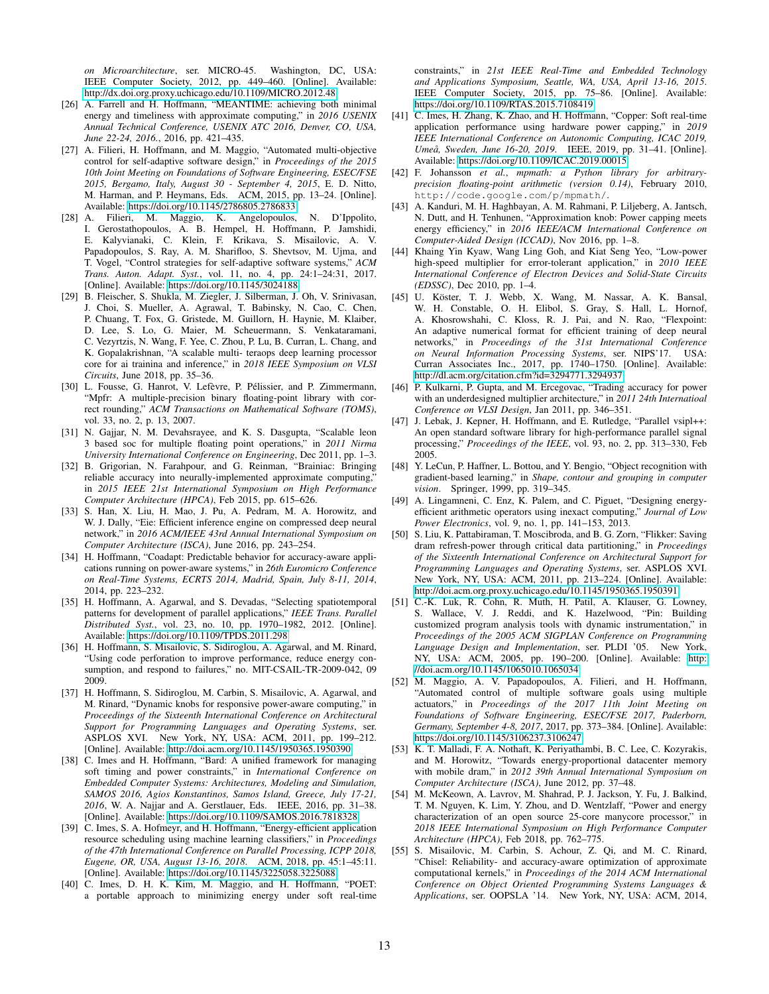*on Microarchitecture*, ser. MICRO-45. Washington, DC, USA: IEEE Computer Society, 2012, pp. 449–460. [Online]. Available: <http://dx.doi.org.proxy.uchicago.edu/10.1109/MICRO.2012.48>

- <span id="page-12-20"></span>[26] A. Farrell and H. Hoffmann, "MEANTIME: achieving both minimal energy and timeliness with approximate computing," in *2016 USENIX Annual Technical Conference, USENIX ATC 2016, Denver, CO, USA, June 22-24, 2016.*, 2016, pp. 421–435.
- [27] A. Filieri, H. Hoffmann, and M. Maggio, "Automated multi-objective control for self-adaptive software design," in *Proceedings of the 2015 10th Joint Meeting on Foundations of Software Engineering, ESEC/FSE 2015, Bergamo, Italy, August 30 - September 4, 2015*, E. D. Nitto, M. Harman, and P. Heymans, Eds. ACM, 2015, pp. 13–24. [Online]. Available:<https://doi.org/10.1145/2786805.2786833>
- <span id="page-12-21"></span>[28] A. Filieri, M. Maggio, K. Angelopoulos, N. D'Ippolito, I. Gerostathopoulos, A. B. Hempel, H. Hoffmann, P. Jamshidi, E. Kalyvianaki, C. Klein, F. Krikava, S. Misailovic, A. V. Papadopoulos, S. Ray, A. M. Sharifloo, S. Shevtsov, M. Ujma, and T. Vogel, "Control strategies for self-adaptive software systems," *ACM Trans. Auton. Adapt. Syst.*, vol. 11, no. 4, pp. 24:1–24:31, 2017. [Online]. Available:<https://doi.org/10.1145/3024188>
- <span id="page-12-8"></span>[29] B. Fleischer, S. Shukla, M. Ziegler, J. Silberman, J. Oh, V. Srinivasan, J. Choi, S. Mueller, A. Agrawal, T. Babinsky, N. Cao, C. Chen, P. Chuang, T. Fox, G. Gristede, M. Guillorn, H. Haynie, M. Klaiber, D. Lee, S. Lo, G. Maier, M. Scheuermann, S. Venkataramani, C. Vezyrtzis, N. Wang, F. Yee, C. Zhou, P. Lu, B. Curran, L. Chang, and K. Gopalakrishnan, "A scalable multi- teraops deep learning processor core for ai trainina and inference," in *2018 IEEE Symposium on VLSI Circuits*, June 2018, pp. 35–36.
- <span id="page-12-0"></span>[30] L. Fousse, G. Hanrot, V. Lefèvre, P. Pélissier, and P. Zimmermann, "Mpfr: A multiple-precision binary floating-point library with correct rounding," *ACM Transactions on Mathematical Software (TOMS)*, vol. 33, no. 2, p. 13, 2007.
- <span id="page-12-9"></span>[31] N. Gajjar, N. M. Devahsrayee, and K. S. Dasgupta, "Scalable leon 3 based soc for multiple floating point operations," in *2011 Nirma University International Conference on Engineering*, Dec 2011, pp. 1–3.
- <span id="page-12-12"></span>[32] B. Grigorian, N. Farahpour, and G. Reinman, "Brainiac: Bringing reliable accuracy into neurally-implemented approximate computing,' in *2015 IEEE 21st International Symposium on High Performance Computer Architecture (HPCA)*, Feb 2015, pp. 615–626.
- <span id="page-12-13"></span>[33] S. Han, X. Liu, H. Mao, J. Pu, A. Pedram, M. A. Horowitz, and W. J. Dally, "Eie: Efficient inference engine on compressed deep neural network," in *2016 ACM/IEEE 43rd Annual International Symposium on Computer Architecture (ISCA)*, June 2016, pp. 243–254.
- <span id="page-12-22"></span>[34] H. Hoffmann, "Coadapt: Predictable behavior for accuracy-aware applications running on power-aware systems," in *26th Euromicro Conference on Real-Time Systems, ECRTS 2014, Madrid, Spain, July 8-11, 2014*, 2014, pp. 223–232.
- <span id="page-12-16"></span>[35] H. Hoffmann, A. Agarwal, and S. Devadas, "Selecting spatiotemporal patterns for development of parallel applications," *IEEE Trans. Parallel Distributed Syst.*, vol. 23, no. 10, pp. 1970–1982, 2012. [Online]. Available:<https://doi.org/10.1109/TPDS.2011.298>
- <span id="page-12-2"></span>[36] H. Hoffmann, S. Misailovic, S. Sidiroglou, A. Agarwal, and M. Rinard, "Using code perforation to improve performance, reduce energy consumption, and respond to failures," no. MIT-CSAIL-TR-2009-042, 09 2009.
- <span id="page-12-3"></span>[37] H. Hoffmann, S. Sidiroglou, M. Carbin, S. Misailovic, A. Agarwal, and M. Rinard, "Dynamic knobs for responsive power-aware computing," in *Proceedings of the Sixteenth International Conference on Architectural Support for Programming Languages and Operating Systems*, ser. ASPLOS XVI. New York, NY, USA: ACM, 2011, pp. 199–212. [Online]. Available:<http://doi.acm.org/10.1145/1950365.1950390>
- <span id="page-12-23"></span>[38] C. Imes and H. Hoffmann, "Bard: A unified framework for managing soft timing and power constraints," in *International Conference on Embedded Computer Systems: Architectures, Modeling and Simulation, SAMOS 2016, Agios Konstantinos, Samos Island, Greece, July 17-21, 2016*, W. A. Najjar and A. Gerstlauer, Eds. IEEE, 2016, pp. 31–38. [Online]. Available:<https://doi.org/10.1109/SAMOS.2016.7818328>
- <span id="page-12-19"></span>[39] C. Imes, S. A. Hofmeyr, and H. Hoffmann, "Energy-efficient application resource scheduling using machine learning classifiers," in *Proceedings of the 47th International Conference on Parallel Processing, ICPP 2018, Eugene, OR, USA, August 13-16, 2018*. ACM, 2018, pp. 45:1–45:11. [Online]. Available:<https://doi.org/10.1145/3225058.3225088>
- <span id="page-12-24"></span>[40] C. Imes, D. H. K. Kim, M. Maggio, and H. Hoffmann, "POET: a portable approach to minimizing energy under soft real-time

constraints," in *21st IEEE Real-Time and Embedded Technology and Applications Symposium, Seattle, WA, USA, April 13-16, 2015*. IEEE Computer Society, 2015, pp. 75–86. [Online]. Available: <https://doi.org/10.1109/RTAS.2015.7108419>

- <span id="page-12-25"></span>[41] C. Imes, H. Zhang, K. Zhao, and H. Hoffmann, "Copper: Soft real-time application performance using hardware power capping," in *2019 IEEE International Conference on Autonomic Computing, ICAC 2019, Umeå, Sweden, June 16-20, 2019.* IEEE, 2019, pp. 31-41. [Online]. Available:<https://doi.org/10.1109/ICAC.2019.00015>
- <span id="page-12-28"></span>[42] F. Johansson *et al.*, *mpmath: a Python library for arbitraryprecision floating-point arithmetic (version 0.14)*, February 2010, http://code.google.com/p/mpmath/.
- <span id="page-12-11"></span>[43] A. Kanduri, M. H. Haghbayan, A. M. Rahmani, P. Liljeberg, A. Jantsch, N. Dutt, and H. Tenhunen, "Approximation knob: Power capping meets energy efficiency," in *2016 IEEE/ACM International Conference on Computer-Aided Design (ICCAD)*, Nov 2016, pp. 1–8.
- <span id="page-12-6"></span>[44] Khaing Yin Kyaw, Wang Ling Goh, and Kiat Seng Yeo, "Low-power high-speed multiplier for error-tolerant application," in *2010 IEEE International Conference of Electron Devices and Solid-State Circuits (EDSSC)*, Dec 2010, pp. 1–4.
- <span id="page-12-14"></span>[45] U. Köster, T. J. Webb, X. Wang, M. Nassar, A. K. Bansal, W. H. Constable, O. H. Elibol, S. Gray, S. Hall, L. Hornof, A. Khosrowshahi, C. Kloss, R. J. Pai, and N. Rao, "Flexpoint: An adaptive numerical format for efficient training of deep neural networks," in *Proceedings of the 31st International Conference on Neural Information Processing Systems*, ser. NIPS'17. USA: Curran Associates Inc., 2017, pp. 1740–1750. [Online]. Available: <http://dl.acm.org/citation.cfm?id=3294771.3294937>
- <span id="page-12-7"></span>[46] P. Kulkarni, P. Gupta, and M. Ercegovac, "Trading accuracy for power with an underdesigned multiplier architecture," in *2011 24th Internatioal Conference on VLSI Design*, Jan 2011, pp. 346–351.
- <span id="page-12-17"></span>[47] J. Lebak, J. Kepner, H. Hoffmann, and E. Rutledge, "Parallel vsipl++: An open standard software library for high-performance parallel signal processing," *Proceedings of the IEEE*, vol. 93, no. 2, pp. 313–330, Feb 2005.
- <span id="page-12-27"></span>[48] Y. LeCun, P. Haffner, L. Bottou, and Y. Bengio, "Object recognition with gradient-based learning," in *Shape, contour and grouping in computer vision*. Springer, 1999, pp. 319–345.
- <span id="page-12-5"></span>[49] A. Lingamneni, C. Enz, K. Palem, and C. Piguet, "Designing energyefficient arithmetic operators using inexact computing," *Journal of Low Power Electronics*, vol. 9, no. 1, pp. 141–153, 2013.
- <span id="page-12-4"></span>[50] S. Liu, K. Pattabiraman, T. Moscibroda, and B. G. Zorn, "Flikker: Saving dram refresh-power through critical data partitioning," in *Proceedings of the Sixteenth International Conference on Architectural Support for Programming Languages and Operating Systems*, ser. ASPLOS XVI. New York, NY, USA: ACM, 2011, pp. 213–224. [Online]. Available: <http://doi.acm.org.proxy.uchicago.edu/10.1145/1950365.1950391>
- <span id="page-12-1"></span>[51] C.-K. Luk, R. Cohn, R. Muth, H. Patil, A. Klauser, G. Lowney, S. Wallace, V. J. Reddi, and K. Hazelwood, "Pin: Building customized program analysis tools with dynamic instrumentation," in *Proceedings of the 2005 ACM SIGPLAN Conference on Programming Language Design and Implementation*, ser. PLDI '05. New York, NY, USA: ACM, 2005, pp. 190–200. [Online]. Available: [http:](http://doi.acm.org/10.1145/1065010.1065034) [//doi.acm.org/10.1145/1065010.1065034](http://doi.acm.org/10.1145/1065010.1065034)
- <span id="page-12-26"></span>[52] M. Maggio, A. V. Papadopoulos, A. Filieri, and H. Hoffmann, "Automated control of multiple software goals using multiple actuators," in *Proceedings of the 2017 11th Joint Meeting on Foundations of Software Engineering, ESEC/FSE 2017, Paderborn, Germany, September 4-8, 2017*, 2017, pp. 373–384. [Online]. Available: <https://doi.org/10.1145/3106237.3106247>
- <span id="page-12-18"></span>[53] K. T. Malladi, F. A. Nothaft, K. Periyathambi, B. C. Lee, C. Kozyrakis, and M. Horowitz, "Towards energy-proportional datacenter memory with mobile dram," in *2012 39th Annual International Symposium on Computer Architecture (ISCA)*, June 2012, pp. 37–48.
- <span id="page-12-15"></span>[54] M. McKeown, A. Lavrov, M. Shahrad, P. J. Jackson, Y. Fu, J. Balkind, T. M. Nguyen, K. Lim, Y. Zhou, and D. Wentzlaff, "Power and energy characterization of an open source 25-core manycore processor," in *2018 IEEE International Symposium on High Performance Computer Architecture (HPCA)*, Feb 2018, pp. 762–775.
- <span id="page-12-10"></span>[55] S. Misailovic, M. Carbin, S. Achour, Z. Qi, and M. C. Rinard, "Chisel: Reliability- and accuracy-aware optimization of approximate computational kernels," in *Proceedings of the 2014 ACM International Conference on Object Oriented Programming Systems Languages & Applications*, ser. OOPSLA '14. New York, NY, USA: ACM, 2014,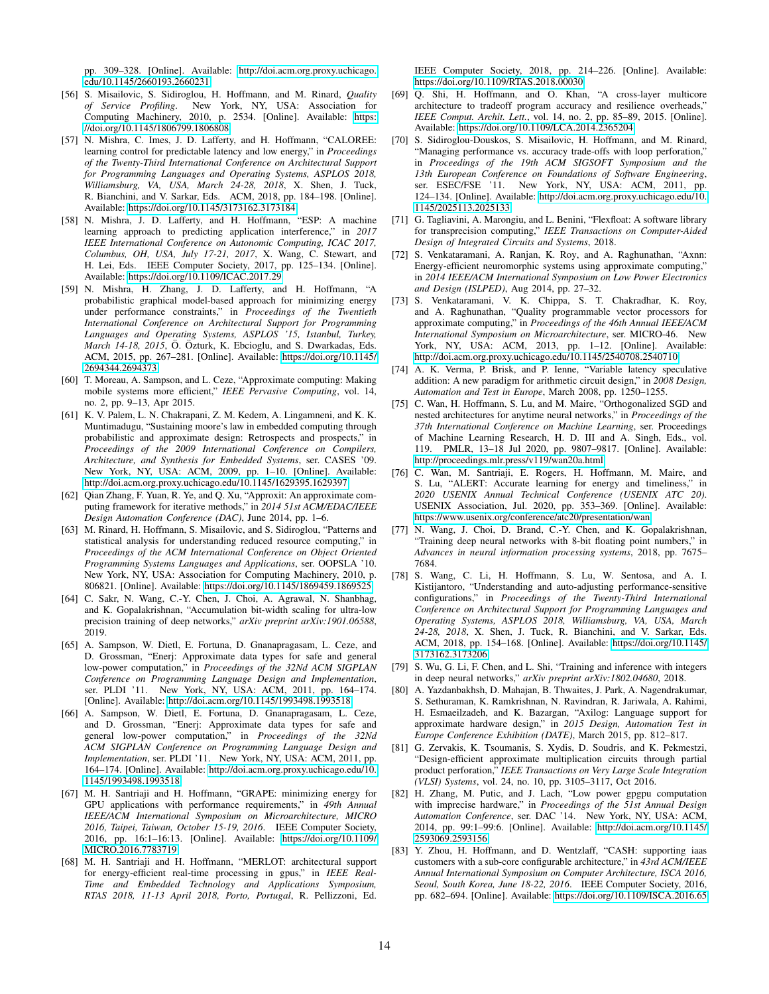pp. 309–328. [Online]. Available: [http://doi.acm.org.proxy.uchicago.](http://doi.acm.org.proxy.uchicago.edu/10.1145/2660193.2660231) [edu/10.1145/2660193.2660231](http://doi.acm.org.proxy.uchicago.edu/10.1145/2660193.2660231)

- <span id="page-13-5"></span>[56] S. Misailovic, S. Sidiroglou, H. Hoffmann, and M. Rinard, *Quality of Service Profiling*. New York, NY, USA: Association for Computing Machinery, 2010, p. 2534. [Online]. Available: [https:](https://doi.org/10.1145/1806799.1806808) [//doi.org/10.1145/1806799.1806808](https://doi.org/10.1145/1806799.1806808)
- <span id="page-13-22"></span>[57] N. Mishra, C. Imes, J. D. Lafferty, and H. Hoffmann, "CALOREE: learning control for predictable latency and low energy," in *Proceedings of the Twenty-Third International Conference on Architectural Support for Programming Languages and Operating Systems, ASPLOS 2018, Williamsburg, VA, USA, March 24-28, 2018*, X. Shen, J. Tuck, R. Bianchini, and V. Sarkar, Eds. ACM, 2018, pp. 184–198. [Online]. Available:<https://doi.org/10.1145/3173162.3173184>
- <span id="page-13-20"></span>[58] N. Mishra, J. D. Lafferty, and H. Hoffmann, "ESP: A machine learning approach to predicting application interference," in *2017 IEEE International Conference on Autonomic Computing, ICAC 2017, Columbus, OH, USA, July 17-21, 2017*, X. Wang, C. Stewart, and H. Lei, Eds. IEEE Computer Society, 2017, pp. 125–134. [Online]. Available:<https://doi.org/10.1109/ICAC.2017.29>
- <span id="page-13-21"></span>[59] N. Mishra, H. Zhang, J. D. Lafferty, and H. Hoffmann, "A probabilistic graphical model-based approach for minimizing energy under performance constraints," in *Proceedings of the Twentieth International Conference on Architectural Support for Programming Languages and Operating Systems, ASPLOS '15, Istanbul, Turkey, March 14-18, 2015*, Ö. Özturk, K. Ebcioglu, and S. Dwarkadas, Eds. ACM, 2015, pp. 267–281. [Online]. Available: [https://doi.org/10.1145/](https://doi.org/10.1145/2694344.2694373) [2694344.2694373](https://doi.org/10.1145/2694344.2694373)
- <span id="page-13-17"></span>[60] T. Moreau, A. Sampson, and L. Ceze, "Approximate computing: Making mobile systems more efficient," *IEEE Pervasive Computing*, vol. 14, no. 2, pp. 9–13, Apr 2015.
- <span id="page-13-6"></span>[61] K. V. Palem, L. N. Chakrapani, Z. M. Kedem, A. Lingamneni, and K. K. Muntimadugu, "Sustaining moore's law in embedded computing through probabilistic and approximate design: Retrospects and prospects," in *Proceedings of the 2009 International Conference on Compilers, Architecture, and Synthesis for Embedded Systems*, ser. CASES '09. New York, NY, USA: ACM, 2009, pp. 1–10. [Online]. Available: <http://doi.acm.org.proxy.uchicago.edu/10.1145/1629395.1629397>
- <span id="page-13-12"></span>[62] Oian Zhang, F. Yuan, R. Ye, and Q. Xu, "Approxit: An approximate computing framework for iterative methods," in *2014 51st ACM/EDAC/IEEE Design Automation Conference (DAC)*, June 2014, pp. 1–6.
- <span id="page-13-7"></span>[63] M. Rinard, H. Hoffmann, S. Misailovic, and S. Sidiroglou, "Patterns and statistical analysis for understanding reduced resource computing," in *Proceedings of the ACM International Conference on Object Oriented Programming Systems Languages and Applications*, ser. OOPSLA '10. New York, NY, USA: Association for Computing Machinery, 2010, p. 806821. [Online]. Available:<https://doi.org/10.1145/1869459.1869525>
- <span id="page-13-0"></span>[64] C. Sakr, N. Wang, C.-Y. Chen, J. Choi, A. Agrawal, N. Shanbhag, and K. Gopalakrishnan, "Accumulation bit-width scaling for ultra-low precision training of deep networks," *arXiv preprint arXiv:1901.06588*, 2019.
- <span id="page-13-3"></span>[65] A. Sampson, W. Dietl, E. Fortuna, D. Gnanapragasam, L. Ceze, and D. Grossman, "Enerj: Approximate data types for safe and general low-power computation," in *Proceedings of the 32Nd ACM SIGPLAN Conference on Programming Language Design and Implementation*, ser. PLDI '11. New York, NY, USA: ACM, 2011, pp. 164–174. [Online]. Available:<http://doi.acm.org/10.1145/1993498.1993518>
- <span id="page-13-18"></span>[66] A. Sampson, W. Dietl, E. Fortuna, D. Gnanapragasam, L. Ceze, and D. Grossman, "Enerj: Approximate data types for safe and general low-power computation," in *Proceedings of the 32Nd ACM SIGPLAN Conference on Programming Language Design and Implementation*, ser. PLDI '11. New York, NY, USA: ACM, 2011, pp. 164–174. [Online]. Available: [http://doi.acm.org.proxy.uchicago.edu/10.](http://doi.acm.org.proxy.uchicago.edu/10.1145/1993498.1993518) [1145/1993498.1993518](http://doi.acm.org.proxy.uchicago.edu/10.1145/1993498.1993518)
- <span id="page-13-24"></span>[67] M. H. Santriaji and H. Hoffmann, "GRAPE: minimizing energy for GPU applications with performance requirements," in *49th Annual IEEE/ACM International Symposium on Microarchitecture, MICRO 2016, Taipei, Taiwan, October 15-19, 2016*. IEEE Computer Society, 2016, pp. 16:1–16:13. [Online]. Available: [https://doi.org/10.1109/](https://doi.org/10.1109/MICRO.2016.7783719) [MICRO.2016.7783719](https://doi.org/10.1109/MICRO.2016.7783719)
- <span id="page-13-25"></span>[68] M. H. Santriaji and H. Hoffmann, "MERLOT: architectural support for energy-efficient real-time processing in gpus," in *IEEE Real-Time and Embedded Technology and Applications Symposium, RTAS 2018, 11-13 April 2018, Porto, Portugal*, R. Pellizzoni, Ed.

IEEE Computer Society, 2018, pp. 214–226. [Online]. Available: <https://doi.org/10.1109/RTAS.2018.00030>

- <span id="page-13-8"></span>[69] Q. Shi, H. Hoffmann, and O. Khan, "A cross-layer multicore architecture to tradeoff program accuracy and resilience overheads, *IEEE Comput. Archit. Lett.*, vol. 14, no. 2, pp. 85–89, 2015. [Online]. Available:<https://doi.org/10.1109/LCA.2014.2365204>
- <span id="page-13-9"></span>[70] S. Sidiroglou-Douskos, S. Misailovic, H. Hoffmann, and M. Rinard, "Managing performance vs. accuracy trade-offs with loop perforation," in *Proceedings of the 19th ACM SIGSOFT Symposium and the 13th European Conference on Foundations of Software Engineering*, ser. ESEC/FSE '11. New York, NY, USA: ACM, 2011, pp. 124–134. [Online]. Available: [http://doi.acm.org.proxy.uchicago.edu/10.](http://doi.acm.org.proxy.uchicago.edu/10.1145/2025113.2025133) [1145/2025113.2025133](http://doi.acm.org.proxy.uchicago.edu/10.1145/2025113.2025133)
- <span id="page-13-4"></span>[71] G. Tagliavini, A. Marongiu, and L. Benini, "Flexfloat: A software library for transprecision computing," *IEEE Transactions on Computer-Aided Design of Integrated Circuits and Systems*, 2018.
- <span id="page-13-13"></span>[72] S. Venkataramani, A. Ranjan, K. Roy, and A. Raghunathan, "Axnn: Energy-efficient neuromorphic systems using approximate computing," in *2014 IEEE/ACM International Symposium on Low Power Electronics and Design (ISLPED)*, Aug 2014, pp. 27–32.
- <span id="page-13-1"></span>[73] S. Venkataramani, V. K. Chippa, S. T. Chakradhar, K. Roy, and A. Raghunathan, "Quality programmable vector processors for approximate computing," in *Proceedings of the 46th Annual IEEE/ACM International Symposium on Microarchitecture*, ser. MICRO-46. New York, NY, USA: ACM, 2013, pp. 1–12. [Online]. Available: <http://doi.acm.org.proxy.uchicago.edu/10.1145/2540708.2540710>
- <span id="page-13-19"></span>[74] A. K. Verma, P. Brisk, and P. Ienne, "Variable latency speculative addition: A new paradigm for arithmetic circuit design," in *2008 Design, Automation and Test in Europe*, March 2008, pp. 1250–1255.
- <span id="page-13-15"></span>[75] C. Wan, H. Hoffmann, S. Lu, and M. Maire, "Orthogonalized SGD and nested architectures for anytime neural networks," in *Proceedings of the 37th International Conference on Machine Learning*, ser. Proceedings of Machine Learning Research, H. D. III and A. Singh, Eds., vol. 119. PMLR, 13–18 Jul 2020, pp. 9807–9817. [Online]. Available: <http://proceedings.mlr.press/v119/wan20a.html>
- <span id="page-13-16"></span>[76] C. Wan, M. Santriaji, E. Rogers, H. Hoffmann, M. Maire, and S. Lu, "ALERT: Accurate learning for energy and timeliness," in *2020 USENIX Annual Technical Conference (USENIX ATC 20)*. USENIX Association, Jul. 2020, pp. 353–369. [Online]. Available: <https://www.usenix.org/conference/atc20/presentation/wan>
- <span id="page-13-2"></span>N. Wang, J. Choi, D. Brand, C.-Y. Chen, and K. Gopalakrishnan, "Training deep neural networks with 8-bit floating point numbers," in *Advances in neural information processing systems*, 2018, pp. 7675– 7684.
- <span id="page-13-23"></span>[78] S. Wang, C. Li, H. Hoffmann, S. Lu, W. Sentosa, and A. I. Kistijantoro, "Understanding and auto-adjusting performance-sensitive configurations," in *Proceedings of the Twenty-Third International Conference on Architectural Support for Programming Languages and Operating Systems, ASPLOS 2018, Williamsburg, VA, USA, March 24-28, 2018*, X. Shen, J. Tuck, R. Bianchini, and V. Sarkar, Eds. ACM, 2018, pp. 154–168. [Online]. Available: [https://doi.org/10.1145/](https://doi.org/10.1145/3173162.3173206) [3173162.3173206](https://doi.org/10.1145/3173162.3173206)
- <span id="page-13-14"></span>[79] S. Wu, G. Li, F. Chen, and L. Shi, "Training and inference with integers in deep neural networks," *arXiv preprint arXiv:1802.04680*, 2018.
- <span id="page-13-10"></span>[80] A. Yazdanbakhsh, D. Mahajan, B. Thwaites, J. Park, A. Nagendrakumar, S. Sethuraman, K. Ramkrishnan, N. Ravindran, R. Jariwala, A. Rahimi, H. Esmaeilzadeh, and K. Bazargan, "Axilog: Language support for approximate hardware design," in *2015 Design, Automation Test in Europe Conference Exhibition (DATE)*, March 2015, pp. 812–817.
- <span id="page-13-11"></span>[81] G. Zervakis, K. Tsoumanis, S. Xydis, D. Soudris, and K. Pekmestzi, "Design-efficient approximate multiplication circuits through partial product perforation," *IEEE Transactions on Very Large Scale Integration (VLSI) Systems*, vol. 24, no. 10, pp. 3105–3117, Oct 2016.
- <span id="page-13-27"></span>[82] H. Zhang, M. Putic, and J. Lach, "Low power gpgpu computation with imprecise hardware," in *Proceedings of the 51st Annual Design Automation Conference*, ser. DAC '14. New York, NY, USA: ACM, 2014, pp. 99:1–99:6. [Online]. Available: [http://doi.acm.org/10.1145/](http://doi.acm.org/10.1145/2593069.2593156) [2593069.2593156](http://doi.acm.org/10.1145/2593069.2593156)
- <span id="page-13-26"></span>[83] Y. Zhou, H. Hoffmann, and D. Wentzlaff, "CASH: supporting iaas customers with a sub-core configurable architecture," in *43rd ACM/IEEE Annual International Symposium on Computer Architecture, ISCA 2016, Seoul, South Korea, June 18-22, 2016*. IEEE Computer Society, 2016, pp. 682–694. [Online]. Available:<https://doi.org/10.1109/ISCA.2016.65>